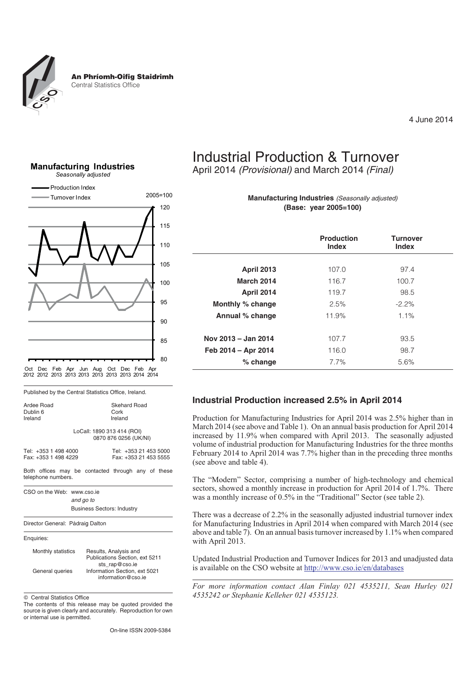

4 June 2014





Published by the Central Statistics Office, Ireland.

| Ardee Road           | Skehard Road                                        |
|----------------------|-----------------------------------------------------|
| Dublin 6             | Cork                                                |
| Ireland              | Ireland                                             |
|                      | LoCall: 1890 313 414 (ROI)<br>0870 876 0256 (UK/NI) |
| Tel: +353 1 498 4000 | Tel: +353 21 453 5000                               |
| Fax: +353 1 498 4229 | Fax: +353 21 453 5555                               |

Both offices may be contacted through any of these telephone numbers.

CSO on the Web: www.cso.ie *and go to* Business Sectors: Industry





| Monthly statistics | Results, Analysis and<br>Publications Section, ext 5211 |
|--------------------|---------------------------------------------------------|
|                    | sts rap@cso.ie                                          |
| General queries    | Information Section, ext 5021                           |
|                    | information@cso.ie                                      |

 $©$  Central Statistics Office

The contents of this release may be quoted provided the source is given clearly and accurately. Reproduction for own or internal use is permitted.

On-line ISSN 2009-5384

# Industrial Production & Turnover

April 2014 *(Provisional)* and March 2014 *(Final)*

**Manufacturing Industries** *(Seasonally adjusted)* **(Base: year 2005=100)**

|                     | <b>Production</b><br><b>Index</b> | <b>Turnover</b><br><b>Index</b> |
|---------------------|-----------------------------------|---------------------------------|
| <b>April 2013</b>   | 107.0                             | 97.4                            |
| <b>March 2014</b>   | 116.7                             | 100.7                           |
| <b>April 2014</b>   | 119.7                             | 98.5                            |
| Monthly % change    | 2.5%                              | $-2.2\%$                        |
| Annual % change     | 11.9%                             | 1.1%                            |
| Nov 2013 - Jan 2014 | 107.7                             | 93.5                            |
| Feb 2014 - Apr 2014 | 116.0                             | 98.7                            |
| $%$ change          | 7.7%                              | 5.6%                            |

#### **Industrial Production increased 2.5% in April 2014**

Production for Manufacturing Industries for April 2014 was 2.5% higher than in March 2014 (see above and Table 1). On an annual basis production for April 2014 increased by 11.9% when compared with April 2013. The seasonally adjusted volume of industrial production for Manufacturing Industries for the three months February 2014 to April 2014 was 7.7% higher than in the preceding three months (see above and table 4).

The "Modern" Sector, comprising a number of high-technology and chemical sectors, showed a monthly increase in production for April 2014 of 1.7%. There was a monthly increase of 0.5% in the "Traditional" Sector (see table 2).

There was a decrease of 2.2% in the seasonally adjusted industrial turnover index for Manufacturing Industries in April 2014 when compared with March 2014 (see above and table 7). On an annual basis turnover increased by 1.1% when compared with April 2013.

Updated Industrial Production and Turnover Indices for 2013 and unadjusted data is available on the CSO website at http://www.cso.ie/en/databases

*For more information contact Alan Finlay 021 4535211, Sean Hurley 021 4535242 or Stephanie Kelleher 021 4535123.*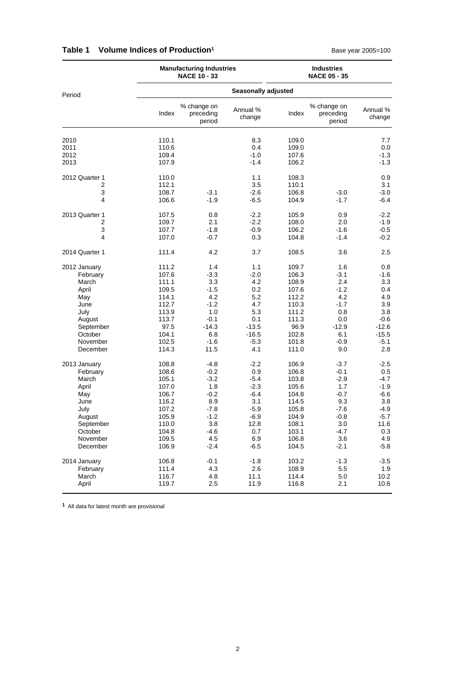|                                                                                                                             |                                                                                                          | <b>Manufacturing Industries</b><br><b>NACE 10 - 33</b>                                                   |                                                                                                        |                                                                                                          | <b>Industries</b><br><b>NACE 05 - 35</b>                                                                 |                                                                                                            |
|-----------------------------------------------------------------------------------------------------------------------------|----------------------------------------------------------------------------------------------------------|----------------------------------------------------------------------------------------------------------|--------------------------------------------------------------------------------------------------------|----------------------------------------------------------------------------------------------------------|----------------------------------------------------------------------------------------------------------|------------------------------------------------------------------------------------------------------------|
| Period                                                                                                                      |                                                                                                          |                                                                                                          | <b>Seasonally adjusted</b>                                                                             |                                                                                                          |                                                                                                          |                                                                                                            |
|                                                                                                                             | Index                                                                                                    | % change on<br>preceding<br>period                                                                       | Annual %<br>change                                                                                     | Index                                                                                                    | % change on<br>preceding<br>period                                                                       | Annual %<br>change                                                                                         |
| 2010<br>2011<br>2012<br>2013                                                                                                | 110.1<br>110.6<br>109.4<br>107.9                                                                         |                                                                                                          | 8.3<br>0.4<br>$-1.0$<br>$-1.4$                                                                         | 109.0<br>109.0<br>107.6<br>106.2                                                                         |                                                                                                          | 7.7<br>0.0<br>$-1.3$<br>$-1.3$                                                                             |
| 2012 Quarter 1<br>2<br>3<br>4                                                                                               | 110.0<br>112.1<br>108.7<br>106.6                                                                         | $-3.1$<br>$-1.9$                                                                                         | 1.1<br>3.5<br>$-2.6$<br>$-6.5$                                                                         | 108.3<br>110.1<br>106.8<br>104.9                                                                         | $-3.0$<br>$-1.7$                                                                                         | 0.9<br>3.1<br>$-3.0$<br>$-6.4$                                                                             |
| 2013 Quarter 1<br>2<br>3<br>4                                                                                               | 107.5<br>109.7<br>107.7<br>107.0                                                                         | 0.8<br>2.1<br>$-1.8$<br>$-0.7$                                                                           | $-2.2$<br>$-2.2$<br>$-0.9$<br>0.3                                                                      | 105.9<br>108.0<br>106.2<br>104.8                                                                         | 0.9<br>2.0<br>$-1.6$<br>$-1.4$                                                                           | $-2.2$<br>-1.9<br>$-0.5$<br>$-0.2$                                                                         |
| 2014 Quarter 1                                                                                                              | 111.4                                                                                                    | 4.2                                                                                                      | 3.7                                                                                                    | 108.5                                                                                                    | 3.6                                                                                                      | 2.5                                                                                                        |
| 2012 January<br>February<br>March<br>April<br>May<br>June<br>July<br>August<br>September<br>October<br>November<br>December | 111.2<br>107.6<br>111.1<br>109.5<br>114.1<br>112.7<br>113.9<br>113.7<br>97.5<br>104.1<br>102.5<br>114.3  | 1.4<br>$-3.3$<br>3.3<br>$-1.5$<br>4.2<br>$-1.2$<br>1.0<br>$-0.1$<br>$-14.3$<br>6.8<br>$-1.6$<br>11.5     | 1.1<br>$-2.0$<br>4.2<br>0.2<br>5.2<br>4.7<br>5.3<br>0.1<br>$-13.5$<br>$-16.5$<br>$-5.3$<br>4.1         | 109.7<br>106.3<br>108.9<br>107.6<br>112.2<br>110.3<br>111.2<br>111.3<br>96.9<br>102.8<br>101.8<br>111.0  | 1.6<br>$-3.1$<br>2.4<br>$-1.2$<br>4.2<br>$-1.7$<br>0.8<br>0.0<br>$-12.9$<br>6.1<br>$-0.9$<br>9.0         | 0.8<br>$-1.6$<br>3.3<br>0.4<br>4.9<br>3.9<br>3.8<br>$-0.6$<br>$-12.6$<br>$-15.5$<br>$-5.1$<br>2.8          |
| 2013 January<br>February<br>March<br>April<br>May<br>June<br>July<br>August<br>September<br>October<br>November<br>December | 108.8<br>108.6<br>105.1<br>107.0<br>106.7<br>116.2<br>107.2<br>105.9<br>110.0<br>104.8<br>109.5<br>106.9 | $-4.8$<br>$-0.2$<br>$-3.2$<br>1.8<br>$-0.2$<br>8.9<br>$-7.8$<br>$-1.2$<br>3.8<br>$-4.6$<br>4.5<br>$-2.4$ | $-2.2$<br>0.9<br>$-5.4$<br>$-2.3$<br>$-6.4$<br>3.1<br>$-5.9$<br>$-6.9$<br>12.8<br>0.7<br>6.9<br>$-6.5$ | 106.9<br>106.8<br>103.8<br>105.6<br>104.8<br>114.5<br>105.8<br>104.9<br>108.1<br>103.1<br>106.8<br>104.5 | $-3.7$<br>$-0.1$<br>$-2.9$<br>1.7<br>$-0.7$<br>9.3<br>$-7.6$<br>$-0.8$<br>3.0<br>$-4.7$<br>3.6<br>$-2.1$ | $-2.5$<br>$0.5\,$<br>$-4.7$<br>$-1.9$<br>$-6.6$<br>3.8<br>$-4.9$<br>$-5.7$<br>11.6<br>0.3<br>4.9<br>$-5.8$ |
| 2014 January<br>February<br>March<br>April                                                                                  | 106.8<br>111.4<br>116.7<br>119.7                                                                         | $-0.1$<br>4.3<br>4.8<br>2.5                                                                              | $-1.8$<br>2.6<br>11.1<br>11.9                                                                          | 103.2<br>108.9<br>114.4<br>116.8                                                                         | $-1.3$<br>5.5<br>5.0<br>2.1                                                                              | $-3.5$<br>1.9<br>10.2<br>10.6                                                                              |

### **Table 1 Volume Indices of Production<sup>1</sup> All and Seasure 2005=100** Base year 2005=100

**1** All data for latest month are provisional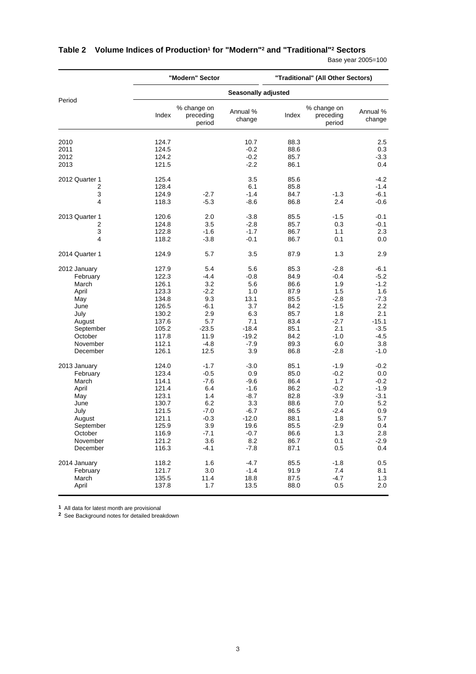|                      |                | "Modern" Sector                    |                     |              | "Traditional" (All Other Sectors)  |                    |
|----------------------|----------------|------------------------------------|---------------------|--------------|------------------------------------|--------------------|
|                      |                |                                    | Seasonally adjusted |              |                                    |                    |
| Period               | Index          | % change on<br>preceding<br>period | Annual %<br>change  | Index        | % change on<br>preceding<br>period | Annual %<br>change |
| 2010                 | 124.7          |                                    | 10.7                | 88.3         |                                    | 2.5                |
| 2011                 | 124.5          |                                    | $-0.2$              | 88.6         |                                    | 0.3                |
| 2012                 | 124.2          |                                    | $-0.2$              | 85.7         |                                    | $-3.3$             |
| 2013                 | 121.5          |                                    | $-2.2$              | 86.1         |                                    | 0.4                |
| 2012 Quarter 1       | 125.4          |                                    | 3.5                 | 85.6         |                                    | $-4.2$             |
| 2                    | 128.4          |                                    | 6.1                 | 85.8         |                                    | $-1.4$             |
| 3                    | 124.9          | $-2.7$                             | $-1.4$              | 84.7         | $-1.3$                             | $-6.1$             |
| 4                    | 118.3          | $-5.3$                             | $-8.6$              | 86.8         | 2.4                                | $-0.6$             |
| 2013 Quarter 1       | 120.6          | 2.0                                | $-3.8$              | 85.5         | $-1.5$                             | $-0.1$             |
| 2                    | 124.8          | 3.5                                | $-2.8$              | 85.7         | 0.3                                | $-0.1$             |
| 3                    | 122.8          | $-1.6$                             | $-1.7$              | 86.7         | 1.1                                | 2.3                |
| 4                    | 118.2          | $-3.8$                             | $-0.1$              | 86.7         | 0.1                                | 0.0                |
| 2014 Quarter 1       | 124.9          | 5.7                                | 3.5                 | 87.9         | 1.3                                | 2.9                |
| 2012 January         | 127.9          | 5.4                                | 5.6                 | 85.3         | -2.8                               | $-6.1$             |
| February             | 122.3          | $-4.4$                             | $-0.8$              | 84.9         | -0.4                               | $-5.2$             |
| March                | 126.1          | 3.2                                | 5.6                 | 86.6         | 1.9                                | $-1.2$             |
| April                | 123.3          | $-2.2$                             | 1.0                 | 87.9         | 1.5                                | 1.6                |
| May                  | 134.8          | 9.3                                | 13.1                | 85.5         | $-2.8$                             | $-7.3$             |
| June                 | 126.5          | $-6.1$                             | 3.7                 | 84.2         | $-1.5$                             | $2.2\,$            |
| July                 | 130.2          | 2.9                                | 6.3                 | 85.7         | 1.8                                | 2.1<br>$-15.1$     |
| August               | 137.6<br>105.2 | 5.7<br>$-23.5$                     | 7.1<br>$-18.4$      | 83.4<br>85.1 | $-2.7$<br>2.1                      | $-3.5$             |
| September<br>October | 117.8          | 11.9                               | $-19.2$             | 84.2         | $-1.0$                             | -4.5               |
| November             | 112.1          | $-4.8$                             | $-7.9$              | 89.3         | 6.0                                | 3.8                |
| December             | 126.1          | 12.5                               | 3.9                 | 86.8         | $-2.8$                             | $-1.0$             |
|                      |                |                                    |                     |              |                                    |                    |
| 2013 January         | 124.0          | $-1.7$                             | $-3.0$              | 85.1         | $-1.9$                             | $-0.2$             |
| February<br>March    | 123.4          | $-0.5$                             | 0.9                 | 85.0         | $-0.2$                             | 0.0                |
| April                | 114.1<br>121.4 | $-7.6$<br>6.4                      | $-9.6$<br>$-1.6$    | 86.4<br>86.2 | 1.7<br>$-0.2$                      | $-0.2$<br>$-1.9$   |
| May                  | 123.1          | 1.4                                | $-8.7$              | 82.8         | $-3.9$                             | $-3.1$             |
| June                 | 130.7          | 6.2                                | 3.3                 | 88.6         | 7.0                                | 5.2                |
| July                 | 121.5          | $-7.0$                             | $-6.7$              | 86.5         | -2.4                               | 0.9                |
| August               | 121.1          | $-0.3$                             | $-12.0$             | 88.1         | 1.8                                | 5.7                |
| September            | 125.9          | 3.9                                | 19.6                | 85.5         | $-2.9$                             | 0.4                |
| October              | 116.9          | $-7.1$                             | $-0.7$              | 86.6         | 1.3                                | $2.8\,$            |
| November             | 121.2          | 3.6                                | 8.2                 | 86.7         | 0.1                                | $-2.9$             |
| December             | 116.3          | $-4.1$                             | $-7.8$              | 87.1         | 0.5                                | 0.4                |
| 2014 January         | 118.2          | 1.6                                | $-4.7$              | 85.5         | $-1.8$                             | 0.5                |
| February             | 121.7          | 3.0                                | $-1.4$              | 91.9         | 7.4                                | 8.1                |
| March                | 135.5          | 11.4                               | 18.8                | 87.5         | -4.7                               | 1.3                |
| April                | 137.8          | 1.7                                | 13.5                | 88.0         | 0.5                                | 2.0                |

# **Table 2 Volume Indices of Production1 for "Modern"2 and "Traditional"2 Sectors**

Base year 2005=100

**1** All data for latest month are provisional

**2** See Background notes for detailed breakdown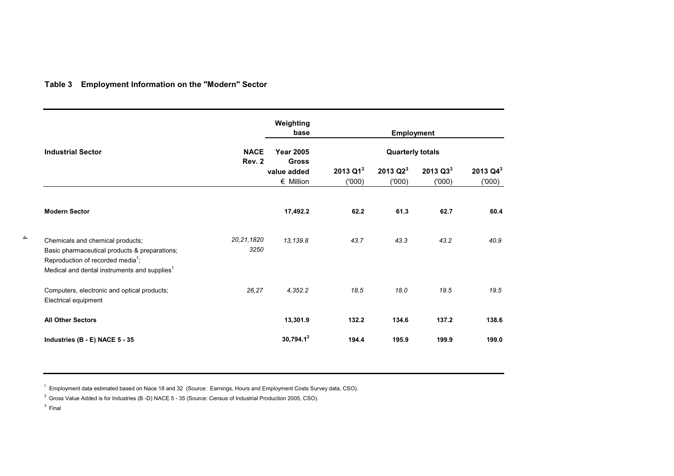### **Table 3 Employment Information on the "Modern" Sector**

|                                                                                                                                                                                                |                       | Weighting<br>base                 | <b>Employment</b>             |                         |                               |                        |  |  |
|------------------------------------------------------------------------------------------------------------------------------------------------------------------------------------------------|-----------------------|-----------------------------------|-------------------------------|-------------------------|-------------------------------|------------------------|--|--|
| <b>Industrial Sector</b>                                                                                                                                                                       | <b>NACE</b><br>Rev. 2 | <b>Year 2005</b><br><b>Gross</b>  |                               | <b>Quarterly totals</b> |                               |                        |  |  |
|                                                                                                                                                                                                |                       | value added<br>$\epsilon$ Million | 2013 Q1 <sup>3</sup><br>(000) | 2013 $Q2^3$<br>(000)    | 2013 Q3 <sup>3</sup><br>(000) | 2013 $Q4^3$<br>('000') |  |  |
| <b>Modern Sector</b>                                                                                                                                                                           |                       | 17,492.2                          | 62.2                          | 61.3                    | 62.7                          | 60.4                   |  |  |
| Chemicals and chemical products;<br>Basic pharmaceutical products & preparations;<br>Reproduction of recorded media <sup>1</sup> ;<br>Medical and dental instruments and supplies <sup>1</sup> | 20, 21, 1820<br>3250  | 13,139.8                          | 43.7                          | 43.3                    | 43.2                          | 40.9                   |  |  |
| Computers, electronic and optical products;<br>Electrical equipment                                                                                                                            | 26,27                 | 4,352.2                           | 18.5                          | 18.0                    | 19.5                          | 19.5                   |  |  |
| <b>All Other Sectors</b>                                                                                                                                                                       |                       | 13,301.9                          | 132.2                         | 134.6                   | 137.2                         | 138.6                  |  |  |
| Industries (B - E) NACE 5 - 35                                                                                                                                                                 |                       | $30,794.1^2$                      | 194.4                         | 195.9                   | 199.9                         | 199.0                  |  |  |

 $1$  Employment data estimated based on Nace 18 and 32 (Source: Earnings, Hours and Employment Costs Survey data, CSO).

<sup>2</sup> Gross Value Added is for Industries (B -D) NACE 5 - 35 (Source: Census of Industrial Production 2005, CSO).

 $3$  Final

4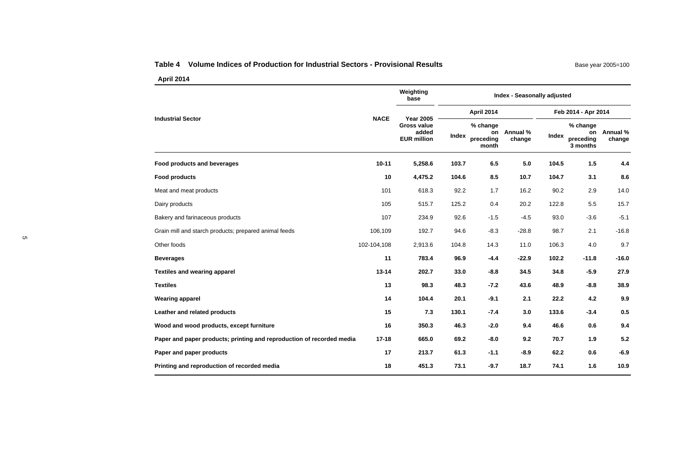#### **Table 4 Volume Indices of Production for Industrial Sectors - Provisional Results**

|                                                                       |             | Weighting<br>base                                                             | <b>Index - Seasonally adjusted</b> |                                |                       |                     |                                         |                    |
|-----------------------------------------------------------------------|-------------|-------------------------------------------------------------------------------|------------------------------------|--------------------------------|-----------------------|---------------------|-----------------------------------------|--------------------|
| <b>Industrial Sector</b>                                              |             | <b>NACE</b><br><b>Year 2005</b><br>Gross value<br>added<br><b>EUR million</b> | April 2014                         |                                |                       | Feb 2014 - Apr 2014 |                                         |                    |
|                                                                       |             |                                                                               | Index                              | % change<br>preceding<br>month | on Annual %<br>change | Index               | % change<br>on<br>preceding<br>3 months | Annual %<br>change |
| Food products and beverages                                           | $10 - 11$   | 5,258.6                                                                       | 103.7                              | 6.5                            | 5.0                   | 104.5               | 1.5                                     | 4.4                |
| <b>Food products</b>                                                  | 10          | 4,475.2                                                                       | 104.6                              | 8.5                            | 10.7                  | 104.7               | 3.1                                     | 8.6                |
| Meat and meat products                                                | 101         | 618.3                                                                         | 92.2                               | 1.7                            | 16.2                  | 90.2                | 2.9                                     | 14.0               |
| Dairy products                                                        | 105         | 515.7                                                                         | 125.2                              | 0.4                            | 20.2                  | 122.8               | 5.5                                     | 15.7               |
| Bakery and farinaceous products                                       | 107         | 234.9                                                                         | 92.6                               | $-1.5$                         | $-4.5$                | 93.0                | $-3.6$                                  | $-5.1$             |
| Grain mill and starch products; prepared animal feeds                 | 106,109     | 192.7                                                                         | 94.6                               | $-8.3$                         | $-28.8$               | 98.7                | 2.1                                     | $-16.8$            |
| Other foods                                                           | 102-104,108 | 2,913.6                                                                       | 104.8                              | 14.3                           | 11.0                  | 106.3               | 4.0                                     | 9.7                |
| <b>Beverages</b>                                                      | 11          | 783.4                                                                         | 96.9                               | $-4.4$                         | $-22.9$               | 102.2               | $-11.8$                                 | $-16.0$            |
| <b>Textiles and wearing apparel</b>                                   | $13 - 14$   | 202.7                                                                         | 33.0                               | $-8.8$                         | 34.5                  | 34.8                | $-5.9$                                  | 27.9               |
| <b>Textiles</b>                                                       | 13          | 98.3                                                                          | 48.3                               | $-7.2$                         | 43.6                  | 48.9                | $-8.8$                                  | 38.9               |
| <b>Wearing apparel</b>                                                | 14          | 104.4                                                                         | 20.1                               | $-9.1$                         | 2.1                   | 22.2                | 4.2                                     | 9.9                |
| Leather and related products                                          | 15          | 7.3                                                                           | 130.1                              | $-7.4$                         | 3.0                   | 133.6               | $-3.4$                                  | 0.5                |
| Wood and wood products, except furniture                              | 16          | 350.3                                                                         | 46.3                               | $-2.0$                         | 9.4                   | 46.6                | 0.6                                     | 9.4                |
| Paper and paper products; printing and reproduction of recorded media | $17 - 18$   | 665.0                                                                         | 69.2                               | $-8.0$                         | 9.2                   | 70.7                | 1.9                                     | 5.2                |
| Paper and paper products                                              | 17          | 213.7                                                                         | 61.3                               | $-1.1$                         | $-8.9$                | 62.2                | 0.6                                     | $-6.9$             |
| Printing and reproduction of recorded media                           | 18          | 451.3                                                                         | 73.1                               | $-9.7$                         | 18.7                  | 74.1                | 1.6                                     | 10.9               |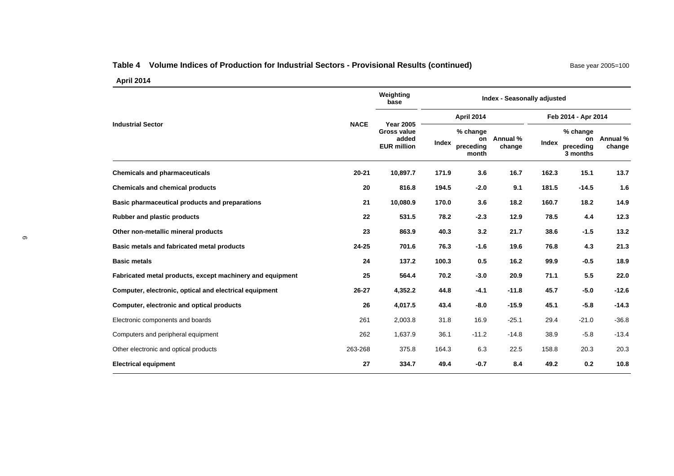# Table 4 Volume Indices of Production for Industrial Sectors - Provisional Results (continued) Base year 2005=100

|                                                           |             | Weighting<br>base                                                     | Index - Seasonally adjusted |                                      |                     |       |                                         |                    |
|-----------------------------------------------------------|-------------|-----------------------------------------------------------------------|-----------------------------|--------------------------------------|---------------------|-------|-----------------------------------------|--------------------|
|                                                           | <b>NACE</b> | <b>Year 2005</b><br><b>Gross value</b><br>added<br><b>EUR million</b> |                             | April 2014                           | Feb 2014 - Apr 2014 |       |                                         |                    |
| <b>Industrial Sector</b>                                  |             |                                                                       | Index                       | % change<br>on<br>preceding<br>month | Annual %<br>change  | Index | % change<br>on<br>preceding<br>3 months | Annual %<br>change |
| <b>Chemicals and pharmaceuticals</b>                      | $20 - 21$   | 10,897.7                                                              | 171.9                       | 3.6                                  | 16.7                | 162.3 | 15.1                                    | 13.7               |
| <b>Chemicals and chemical products</b>                    | 20          | 816.8                                                                 | 194.5                       | $-2.0$                               | 9.1                 | 181.5 | $-14.5$                                 | 1.6                |
| Basic pharmaceutical products and preparations            | 21          | 10,080.9                                                              | 170.0                       | 3.6                                  | 18.2                | 160.7 | 18.2                                    | 14.9               |
| Rubber and plastic products                               | 22          | 531.5                                                                 | 78.2                        | $-2.3$                               | 12.9                | 78.5  | 4.4                                     | 12.3               |
| Other non-metallic mineral products                       | 23          | 863.9                                                                 | 40.3                        | 3.2                                  | 21.7                | 38.6  | $-1.5$                                  | 13.2               |
| Basic metals and fabricated metal products                | $24 - 25$   | 701.6                                                                 | 76.3                        | $-1.6$                               | 19.6                | 76.8  | 4.3                                     | 21.3               |
| <b>Basic metals</b>                                       | 24          | 137.2                                                                 | 100.3                       | 0.5                                  | 16.2                | 99.9  | $-0.5$                                  | 18.9               |
| Fabricated metal products, except machinery and equipment | 25          | 564.4                                                                 | 70.2                        | $-3.0$                               | 20.9                | 71.1  | 5.5                                     | 22.0               |
| Computer, electronic, optical and electrical equipment    | 26-27       | 4,352.2                                                               | 44.8                        | $-4.1$                               | $-11.8$             | 45.7  | $-5.0$                                  | $-12.6$            |
| Computer, electronic and optical products                 | 26          | 4,017.5                                                               | 43.4                        | $-8.0$                               | $-15.9$             | 45.1  | $-5.8$                                  | $-14.3$            |
| Electronic components and boards                          | 261         | 2,003.8                                                               | 31.8                        | 16.9                                 | $-25.1$             | 29.4  | $-21.0$                                 | $-36.8$            |
| Computers and peripheral equipment                        | 262         | 1,637.9                                                               | 36.1                        | $-11.2$                              | $-14.8$             | 38.9  | $-5.8$                                  | $-13.4$            |
| Other electronic and optical products                     | 263-268     | 375.8                                                                 | 164.3                       | 6.3                                  | 22.5                | 158.8 | 20.3                                    | 20.3               |
| <b>Electrical equipment</b>                               | 27          | 334.7                                                                 | 49.4                        | $-0.7$                               | 8.4                 | 49.2  | 0.2                                     | 10.8               |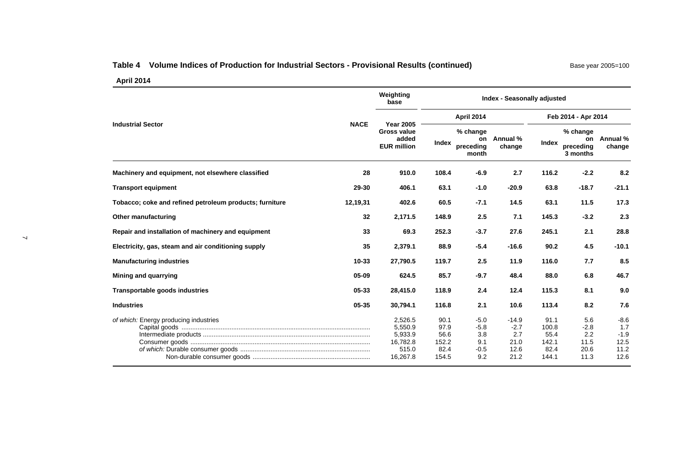# Table 4 Volume Indices of Production for Industrial Sectors - Provisional Results (continued) Base year 2005=100

|                                                         |             | Weighting<br>base                                                     | <b>Index - Seasonally adjusted</b>             |                                                 |                                                  |                                                 |                                              |                                                 |
|---------------------------------------------------------|-------------|-----------------------------------------------------------------------|------------------------------------------------|-------------------------------------------------|--------------------------------------------------|-------------------------------------------------|----------------------------------------------|-------------------------------------------------|
|                                                         |             |                                                                       | April 2014                                     |                                                 |                                                  |                                                 | Feb 2014 - Apr 2014                          |                                                 |
| <b>Industrial Sector</b>                                | <b>NACE</b> | <b>Year 2005</b><br><b>Gross value</b><br>added<br><b>EUR million</b> | Index                                          | % change<br>preceding<br>month                  | on Annual %<br>change                            | Index                                           | % change<br>preceding<br>3 months            | on Annual %<br>change                           |
| Machinery and equipment, not elsewhere classified       | 28          | 910.0                                                                 | 108.4                                          | $-6.9$                                          | 2.7                                              | 116.2                                           | $-2.2$                                       | 8.2                                             |
| <b>Transport equipment</b>                              | 29-30       | 406.1                                                                 | 63.1                                           | $-1.0$                                          | $-20.9$                                          | 63.8                                            | $-18.7$                                      | $-21.1$                                         |
| Tobacco; coke and refined petroleum products; furniture | 12,19,31    | 402.6                                                                 | 60.5                                           | $-7.1$                                          | 14.5                                             | 63.1                                            | 11.5                                         | 17.3                                            |
| Other manufacturing                                     | 32          | 2,171.5                                                               | 148.9                                          | 2.5                                             | 7.1                                              | 145.3                                           | $-3.2$                                       | 2.3                                             |
| Repair and installation of machinery and equipment      | 33          | 69.3                                                                  | 252.3                                          | $-3.7$                                          | 27.6                                             | 245.1                                           | 2.1                                          | 28.8                                            |
| Electricity, gas, steam and air conditioning supply     | 35          | 2,379.1                                                               | 88.9                                           | $-5.4$                                          | $-16.6$                                          | 90.2                                            | 4.5                                          | $-10.1$                                         |
| <b>Manufacturing industries</b>                         | 10-33       | 27,790.5                                                              | 119.7                                          | 2.5                                             | 11.9                                             | 116.0                                           | 7.7                                          | 8.5                                             |
| Mining and guarrying                                    | 05-09       | 624.5                                                                 | 85.7                                           | $-9.7$                                          | 48.4                                             | 88.0                                            | 6.8                                          | 46.7                                            |
| Transportable goods industries                          | 05-33       | 28,415.0                                                              | 118.9                                          | 2.4                                             | 12.4                                             | 115.3                                           | 8.1                                          | 9.0                                             |
| <b>Industries</b>                                       | 05-35       | 30,794.1                                                              | 116.8                                          | 2.1                                             | 10.6                                             | 113.4                                           | 8.2                                          | 7.6                                             |
| of which: Energy producing industries                   |             | 2,526.5<br>5,550.9<br>5,933.9<br>16,782.8<br>515.0<br>16,267.8        | 90.1<br>97.9<br>56.6<br>152.2<br>82.4<br>154.5 | $-5.0$<br>$-5.8$<br>3.8<br>9.1<br>$-0.5$<br>9.2 | $-14.9$<br>$-2.7$<br>2.7<br>21.0<br>12.6<br>21.2 | 91.1<br>100.8<br>55.4<br>142.1<br>82.4<br>144.1 | 5.6<br>$-2.8$<br>2.2<br>11.5<br>20.6<br>11.3 | $-8.6$<br>1.7<br>$-1.9$<br>12.5<br>11.2<br>12.6 |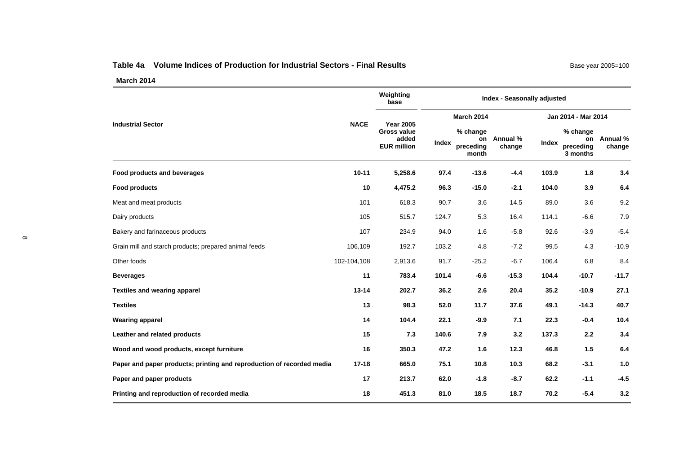#### **Table 4a Volume Indices of Production for Industrial Sectors - Final Results**

Base year 2005=100

|                                                                       |             | Weighting<br>base                                 | Index - Seasonally adjusted |                                      |                                                                                                                                                                                                                                                                                                                                                                                                                                                                                                                                                                                                                                                                        |                    |  |         |
|-----------------------------------------------------------------------|-------------|---------------------------------------------------|-----------------------------|--------------------------------------|------------------------------------------------------------------------------------------------------------------------------------------------------------------------------------------------------------------------------------------------------------------------------------------------------------------------------------------------------------------------------------------------------------------------------------------------------------------------------------------------------------------------------------------------------------------------------------------------------------------------------------------------------------------------|--------------------|--|---------|
| <b>Industrial Sector</b>                                              | <b>NACE</b> | <b>Year 2005</b>                                  | <b>March 2014</b>           |                                      |                                                                                                                                                                                                                                                                                                                                                                                                                                                                                                                                                                                                                                                                        |                    |  |         |
|                                                                       |             | <b>Gross value</b><br>added<br><b>EUR million</b> | Index                       | % change<br>on<br>preceding<br>month | Jan 2014 - Mar 2014<br>% change<br>Annual %<br>on<br>Index<br>change<br>preceding<br>3 months<br>103.9<br>1.8<br>$-13.6$<br>$-4.4$<br>$-15.0$<br>104.0<br>3.9<br>$-2.1$<br>89.0<br>3.6<br>3.6<br>14.5<br>5.3<br>16.4<br>114.1<br>$-6.6$<br>1.6<br>$-5.8$<br>92.6<br>$-3.9$<br>$-7.2$<br>99.5<br>4.8<br>4.3<br>$-25.2$<br>$-6.7$<br>106.4<br>6.8<br>$-15.3$<br>104.4<br>$-10.7$<br>$-6.6$<br>20.4<br>2.6<br>35.2<br>$-10.9$<br>11.7<br>37.6<br>$-14.3$<br>49.1<br>7.1<br>$-9.9$<br>22.3<br>$-0.4$<br>7.9<br>3.2<br>137.3<br>2.2<br>12.3<br>1.5<br>1.6<br>46.8<br>10.3<br>68.2<br>$-3.1$<br>10.8<br>$-1.8$<br>$-8.7$<br>62.2<br>$-1.1$<br>18.7<br>$-5.4$<br>18.5<br>70.2 | Annual %<br>change |  |         |
| Food products and beverages                                           | $10 - 11$   | 5,258.6                                           | 97.4                        |                                      |                                                                                                                                                                                                                                                                                                                                                                                                                                                                                                                                                                                                                                                                        |                    |  | 3.4     |
| <b>Food products</b>                                                  | 10          | 4,475.2                                           | 96.3                        |                                      |                                                                                                                                                                                                                                                                                                                                                                                                                                                                                                                                                                                                                                                                        |                    |  | 6.4     |
| Meat and meat products                                                | 101         | 618.3                                             | 90.7                        |                                      |                                                                                                                                                                                                                                                                                                                                                                                                                                                                                                                                                                                                                                                                        |                    |  | 9.2     |
| Dairy products                                                        | 105         | 515.7                                             | 124.7                       |                                      |                                                                                                                                                                                                                                                                                                                                                                                                                                                                                                                                                                                                                                                                        |                    |  | 7.9     |
| Bakery and farinaceous products                                       | 107         | 234.9                                             | 94.0                        |                                      |                                                                                                                                                                                                                                                                                                                                                                                                                                                                                                                                                                                                                                                                        |                    |  | $-5.4$  |
| Grain mill and starch products; prepared animal feeds                 | 106,109     | 192.7                                             | 103.2                       |                                      |                                                                                                                                                                                                                                                                                                                                                                                                                                                                                                                                                                                                                                                                        |                    |  | $-10.9$ |
| Other foods                                                           | 102-104,108 | 2,913.6                                           | 91.7                        |                                      |                                                                                                                                                                                                                                                                                                                                                                                                                                                                                                                                                                                                                                                                        |                    |  | 8.4     |
| <b>Beverages</b>                                                      | 11          | 783.4                                             | 101.4                       |                                      |                                                                                                                                                                                                                                                                                                                                                                                                                                                                                                                                                                                                                                                                        |                    |  | $-11.7$ |
| <b>Textiles and wearing apparel</b>                                   | $13 - 14$   | 202.7                                             | 36.2                        |                                      |                                                                                                                                                                                                                                                                                                                                                                                                                                                                                                                                                                                                                                                                        |                    |  | 27.1    |
| <b>Textiles</b>                                                       | 13          | 98.3                                              | 52.0                        |                                      |                                                                                                                                                                                                                                                                                                                                                                                                                                                                                                                                                                                                                                                                        |                    |  | 40.7    |
| <b>Wearing apparel</b>                                                | 14          | 104.4                                             | 22.1                        |                                      |                                                                                                                                                                                                                                                                                                                                                                                                                                                                                                                                                                                                                                                                        |                    |  | 10.4    |
| Leather and related products                                          | 15          | 7.3                                               | 140.6                       |                                      |                                                                                                                                                                                                                                                                                                                                                                                                                                                                                                                                                                                                                                                                        |                    |  | 3.4     |
| Wood and wood products, except furniture                              | 16          | 350.3                                             | 47.2                        |                                      |                                                                                                                                                                                                                                                                                                                                                                                                                                                                                                                                                                                                                                                                        |                    |  | 6.4     |
| Paper and paper products; printing and reproduction of recorded media | $17 - 18$   | 665.0                                             | 75.1                        |                                      |                                                                                                                                                                                                                                                                                                                                                                                                                                                                                                                                                                                                                                                                        |                    |  | 1.0     |
| Paper and paper products                                              | 17          | 213.7                                             | 62.0                        |                                      |                                                                                                                                                                                                                                                                                                                                                                                                                                                                                                                                                                                                                                                                        |                    |  | $-4.5$  |
| Printing and reproduction of recorded media                           | 18          | 451.3                                             | 81.0                        |                                      |                                                                                                                                                                                                                                                                                                                                                                                                                                                                                                                                                                                                                                                                        |                    |  | 3.2     |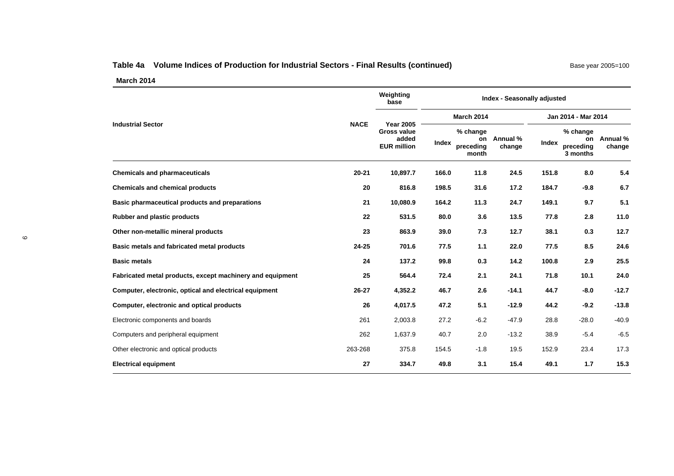# **Table 4a Volume Indices of Production for Industrial Sectors - Final Results (continued)** Base year 2005 Base ye

| Base year 2005=100 |  |  |  |  |
|--------------------|--|--|--|--|
|--------------------|--|--|--|--|

|                                                           | <b>NACE</b> | Weighting<br>base                                                     | Index - Seasonally adjusted |                                      |                    |                     |                                         |                    |
|-----------------------------------------------------------|-------------|-----------------------------------------------------------------------|-----------------------------|--------------------------------------|--------------------|---------------------|-----------------------------------------|--------------------|
|                                                           |             | <b>Year 2005</b><br><b>Gross value</b><br>added<br><b>EUR million</b> | <b>March 2014</b>           |                                      |                    | Jan 2014 - Mar 2014 |                                         |                    |
| <b>Industrial Sector</b>                                  |             |                                                                       | Index                       | % change<br>on<br>preceding<br>month | Annual %<br>change | Index               | % change<br>on<br>preceding<br>3 months | Annual %<br>change |
| <b>Chemicals and pharmaceuticals</b>                      | $20 - 21$   | 10,897.7                                                              | 166.0                       | 11.8                                 | 24.5               | 151.8               | 8.0                                     | 5.4                |
| <b>Chemicals and chemical products</b>                    | 20          | 816.8                                                                 | 198.5                       | 31.6                                 | 17.2               | 184.7               | $-9.8$                                  | 6.7                |
| Basic pharmaceutical products and preparations            | 21          | 10,080.9                                                              | 164.2                       | 11.3                                 | 24.7               | 149.1               | 9.7                                     | 5.1                |
| <b>Rubber and plastic products</b>                        | 22          | 531.5                                                                 | 80.0                        | 3.6                                  | 13.5               | 77.8                | 2.8                                     | 11.0               |
| Other non-metallic mineral products                       | 23          | 863.9                                                                 | 39.0                        | 7.3                                  | 12.7               | 38.1                | 0.3                                     | 12.7               |
| Basic metals and fabricated metal products                | $24 - 25$   | 701.6                                                                 | 77.5                        | 1.1                                  | 22.0               | 77.5                | 8.5                                     | 24.6               |
| <b>Basic metals</b>                                       | 24          | 137.2                                                                 | 99.8                        | 0.3                                  | 14.2               | 100.8               | 2.9                                     | 25.5               |
| Fabricated metal products, except machinery and equipment | 25          | 564.4                                                                 | 72.4                        | 2.1                                  | 24.1               | 71.8                | 10.1                                    | 24.0               |
| Computer, electronic, optical and electrical equipment    | 26-27       | 4,352.2                                                               | 46.7                        | 2.6                                  | $-14.1$            | 44.7                | $-8.0$                                  | $-12.7$            |
| Computer, electronic and optical products                 | 26          | 4,017.5                                                               | 47.2                        | 5.1                                  | $-12.9$            | 44.2                | $-9.2$                                  | $-13.8$            |
| Electronic components and boards                          | 261         | 2,003.8                                                               | 27.2                        | $-6.2$                               | $-47.9$            | 28.8                | $-28.0$                                 | $-40.9$            |
| Computers and peripheral equipment                        | 262         | 1,637.9                                                               | 40.7                        | 2.0                                  | $-13.2$            | 38.9                | $-5.4$                                  | $-6.5$             |
| Other electronic and optical products                     | 263-268     | 375.8                                                                 | 154.5                       | $-1.8$                               | 19.5               | 152.9               | 23.4                                    | 17.3               |
| <b>Electrical equipment</b>                               | 27          | 334.7                                                                 | 49.8                        | 3.1                                  | 15.4               | 49.1                | 1.7                                     | 15.3               |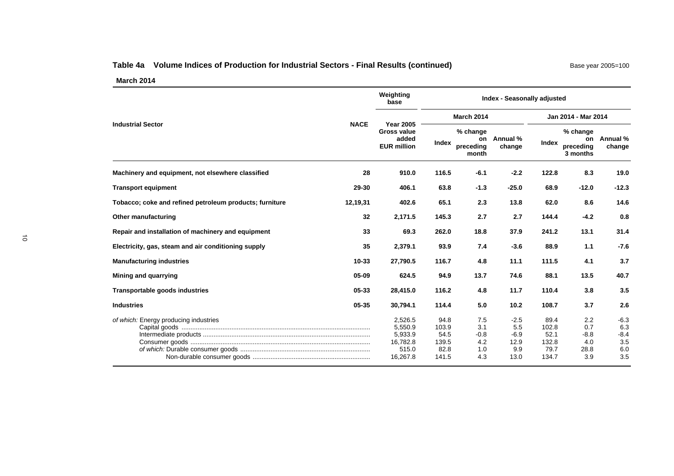# Table 4a Volume Indices of Production for Industrial Sectors - Final Results (continued) Base year 2005=100

|                                                         |             | Weighting<br>base                                                     | <b>Index - Seasonally adjusted</b>              |                                           |                                                |                                                 |                                            |                                              |  |  |
|---------------------------------------------------------|-------------|-----------------------------------------------------------------------|-------------------------------------------------|-------------------------------------------|------------------------------------------------|-------------------------------------------------|--------------------------------------------|----------------------------------------------|--|--|
|                                                         |             |                                                                       |                                                 | <b>March 2014</b>                         |                                                | Jan 2014 - Mar 2014                             |                                            |                                              |  |  |
| <b>Industrial Sector</b>                                | <b>NACE</b> | <b>Year 2005</b><br><b>Gross value</b><br>added<br><b>EUR million</b> | Index                                           | % change<br>on<br>preceding<br>month      | Annual %<br>change                             | Index                                           | % change<br>on<br>preceding<br>3 months    | Annual %<br>change                           |  |  |
| Machinery and equipment, not elsewhere classified       | 28          | 910.0                                                                 | 116.5                                           | $-6.1$                                    | $-2.2$                                         | 122.8                                           | 8.3                                        | 19.0                                         |  |  |
| <b>Transport equipment</b>                              | 29-30       | 406.1                                                                 | 63.8                                            | $-1.3$                                    | $-25.0$                                        | 68.9                                            | $-12.0$                                    | $-12.3$                                      |  |  |
| Tobacco; coke and refined petroleum products; furniture | 12,19,31    | 402.6                                                                 | 65.1                                            | 2.3                                       | 13.8                                           | 62.0                                            | 8.6                                        | 14.6                                         |  |  |
| Other manufacturing                                     | 32          | 2,171.5                                                               | 145.3                                           | 2.7                                       | 2.7                                            | 144.4                                           | $-4.2$                                     | 0.8                                          |  |  |
| Repair and installation of machinery and equipment      | 33          | 69.3                                                                  | 262.0                                           | 18.8                                      | 37.9                                           | 241.2                                           | 13.1                                       | 31.4                                         |  |  |
| Electricity, gas, steam and air conditioning supply     | 35          | 2,379.1                                                               | 93.9                                            | 7.4                                       | $-3.6$                                         | 88.9                                            | 1.1                                        | $-7.6$                                       |  |  |
| <b>Manufacturing industries</b>                         | $10 - 33$   | 27,790.5                                                              | 116.7                                           | 4.8                                       | 11.1                                           | 111.5                                           | 4.1                                        | 3.7                                          |  |  |
| Mining and quarrying                                    | 05-09       | 624.5                                                                 | 94.9                                            | 13.7                                      | 74.6                                           | 88.1                                            | 13.5                                       | 40.7                                         |  |  |
| Transportable goods industries                          | 05-33       | 28,415.0                                                              | 116.2                                           | 4.8                                       | 11.7                                           | 110.4                                           | 3.8                                        | 3.5                                          |  |  |
| <b>Industries</b>                                       | 05-35       | 30.794.1                                                              | 114.4                                           | 5.0                                       | 10.2                                           | 108.7                                           | 3.7                                        | 2.6                                          |  |  |
| of which: Energy producing industries                   |             | 2,526.5<br>5,550.9<br>5,933.9<br>16,782.8<br>515.0<br>16,267.8        | 94.8<br>103.9<br>54.5<br>139.5<br>82.8<br>141.5 | 7.5<br>3.1<br>$-0.8$<br>4.2<br>1.0<br>4.3 | $-2.5$<br>5.5<br>$-6.9$<br>12.9<br>9.9<br>13.0 | 89.4<br>102.8<br>52.1<br>132.8<br>79.7<br>134.7 | 2.2<br>0.7<br>$-8.8$<br>4.0<br>28.8<br>3.9 | $-6.3$<br>6.3<br>$-8.4$<br>3.5<br>6.0<br>3.5 |  |  |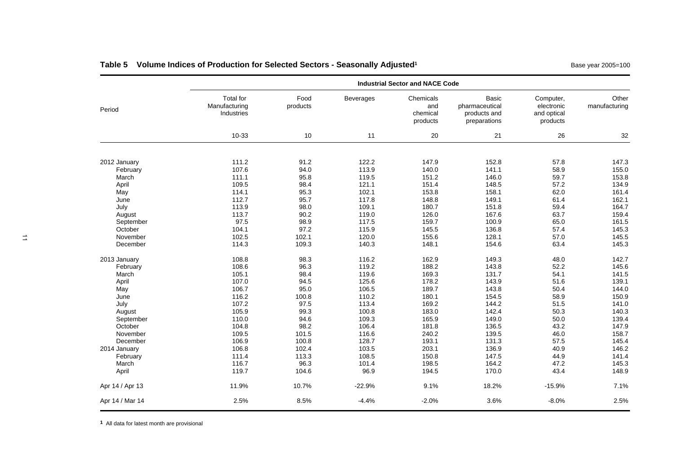|                   |                                                 |                  |                  | <b>Industrial Sector and NACE Code</b>   |                                                         |                                                    |                        |
|-------------------|-------------------------------------------------|------------------|------------------|------------------------------------------|---------------------------------------------------------|----------------------------------------------------|------------------------|
| Period            | <b>Total for</b><br>Manufacturing<br>Industries | Food<br>products | <b>Beverages</b> | Chemicals<br>and<br>chemical<br>products | Basic<br>pharmaceutical<br>products and<br>preparations | Computer,<br>electronic<br>and optical<br>products | Other<br>manufacturing |
|                   | 10-33                                           | 10               | 11               | 20                                       | 21                                                      | 26                                                 | 32                     |
|                   |                                                 |                  |                  |                                          |                                                         |                                                    |                        |
| 2012 January      | 111.2                                           | 91.2             | 122.2            | 147.9                                    | 152.8                                                   | 57.8                                               | 147.3                  |
| February<br>March | 107.6<br>111.1                                  | 94.0<br>95.8     | 113.9<br>119.5   | 140.0<br>151.2                           | 141.1<br>146.0                                          | 58.9<br>59.7                                       | 155.0                  |
|                   | 109.5                                           | 98.4             | 121.1            | 151.4                                    | 148.5                                                   | 57.2                                               | 153.8<br>134.9         |
| April<br>May      | 114.1                                           | 95.3             | 102.1            | 153.8                                    | 158.1                                                   | 62.0                                               | 161.4                  |
| June              | 112.7                                           | 95.7             | 117.8            | 148.8                                    | 149.1                                                   | 61.4                                               | 162.1                  |
| July              | 113.9                                           | 98.0             | 109.1            | 180.7                                    | 151.8                                                   | 59.4                                               | 164.7                  |
| August            | 113.7                                           | 90.2             | 119.0            | 126.0                                    | 167.6                                                   | 63.7                                               | 159.4                  |
| September         | 97.5                                            | 98.9             | 117.5            | 159.7                                    | 100.9                                                   | 65.0                                               | 161.5                  |
| October           | 104.1                                           | 97.2             | 115.9            | 145.5                                    | 136.8                                                   | 57.4                                               | 145.3                  |
| November          | 102.5                                           | 102.1            | 120.0            | 155.6                                    | 128.1                                                   | 57.0                                               | 145.5                  |
| December          | 114.3                                           | 109.3            | 140.3            | 148.1                                    | 154.6                                                   | 63.4                                               | 145.3                  |
| 2013 January      | 108.8                                           | 98.3             | 116.2            | 162.9                                    | 149.3                                                   | 48.0                                               | 142.7                  |
| February          | 108.6                                           | 96.3             | 119.2            | 188.2                                    | 143.8                                                   | 52.2                                               | 145.6                  |
| March             | 105.1                                           | 98.4             | 119.6            | 169.3                                    | 131.7                                                   | 54.1                                               | 141.5                  |
| April             | 107.0                                           | 94.5             | 125.6            | 178.2                                    | 143.9                                                   | 51.6                                               | 139.1                  |
| May               | 106.7                                           | 95.0             | 106.5            | 189.7                                    | 143.8                                                   | 50.4                                               | 144.0                  |
| June              | 116.2                                           | 100.8            | 110.2            | 180.1                                    | 154.5                                                   | 58.9                                               | 150.9                  |
| July              | 107.2                                           | 97.5             | 113.4            | 169.2                                    | 144.2                                                   | 51.5                                               | 141.0                  |
| August            | 105.9                                           | 99.3             | 100.8            | 183.0                                    | 142.4                                                   | 50.3                                               | 140.3                  |
| September         | 110.0                                           | 94.6             | 109.3            | 165.9                                    | 149.0                                                   | 50.0                                               | 139.4                  |
| October           | 104.8                                           | 98.2             | 106.4            | 181.8                                    | 136.5                                                   | 43.2                                               | 147.9                  |
| November          | 109.5                                           | 101.5            | 116.6            | 240.2                                    | 139.5                                                   | 46.0                                               | 158.7                  |
| December          | 106.9                                           | 100.8            | 128.7            | 193.1                                    | 131.3                                                   | 57.5                                               | 145.4                  |
| 2014 January      | 106.8                                           | 102.4            | 103.5            | 203.1                                    | 136.9                                                   | 40.9                                               | 146.2                  |
| February          | 111.4                                           | 113.3            | 108.5            | 150.8                                    | 147.5                                                   | 44.9                                               | 141.4                  |
| March             | 116.7                                           | 96.3             | 101.4            | 198.5                                    | 164.2                                                   | 47.2                                               | 145.3                  |
| April             | 119.7                                           | 104.6            | 96.9             | 194.5                                    | 170.0                                                   | 43.4                                               | 148.9                  |
| Apr 14 / Apr 13   | 11.9%                                           | 10.7%            | $-22.9%$         | 9.1%                                     | 18.2%                                                   | $-15.9%$                                           | 7.1%                   |
| Apr 14 / Mar 14   | 2.5%                                            | 8.5%             | $-4.4%$          | $-2.0%$                                  | 3.6%                                                    | $-8.0%$                                            | 2.5%                   |

# Table 5 Volume Indices of Production for Selected Sectors - Seasonally Adjusted<sup>1</sup> Matchest 2005 Fasse year 2005=100

**<sup>1</sup>** All data for latest month are provisional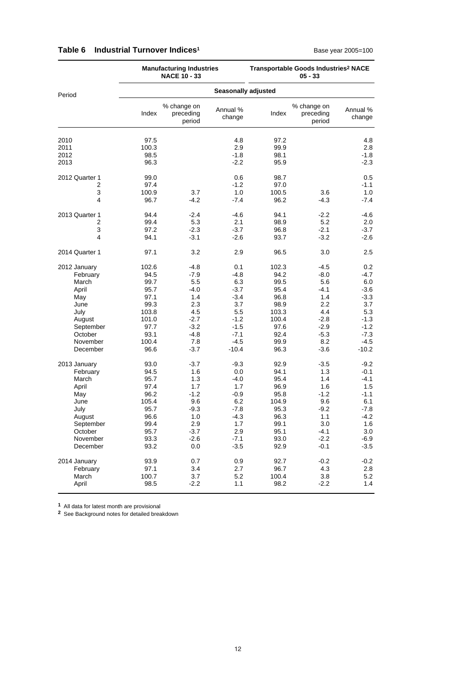|                              |                                                                                                                             | <b>Manufacturing Industries</b><br><b>NACE 10 - 33</b>                                           |                                                                                                 |                                                                                                       |                                                                                                 | Transportable Goods Industries <sup>2</sup> NACE<br>$05 - 33$                                         |                                                                                                          |  |  |  |  |
|------------------------------|-----------------------------------------------------------------------------------------------------------------------------|--------------------------------------------------------------------------------------------------|-------------------------------------------------------------------------------------------------|-------------------------------------------------------------------------------------------------------|-------------------------------------------------------------------------------------------------|-------------------------------------------------------------------------------------------------------|----------------------------------------------------------------------------------------------------------|--|--|--|--|
| Period                       |                                                                                                                             |                                                                                                  |                                                                                                 | <b>Seasonally adjusted</b>                                                                            |                                                                                                 |                                                                                                       |                                                                                                          |  |  |  |  |
|                              |                                                                                                                             | Index                                                                                            | % change on<br>preceding<br>period                                                              | Annual %<br>change                                                                                    | Index                                                                                           | % change on<br>preceding<br>period                                                                    | Annual %<br>change                                                                                       |  |  |  |  |
| 2010<br>2011<br>2012<br>2013 |                                                                                                                             | 97.5<br>100.3<br>98.5<br>96.3                                                                    |                                                                                                 | 4.8<br>2.9<br>$-1.8$<br>$-2.2$                                                                        | 97.2<br>99.9<br>98.1<br>95.9                                                                    |                                                                                                       | 4.8<br>2.8<br>$-1.8$<br>$-2.3$                                                                           |  |  |  |  |
|                              | 2012 Quarter 1<br>2<br>3<br>4                                                                                               | 99.0<br>97.4<br>100.9<br>96.7                                                                    | 3.7<br>-4.2                                                                                     | 0.6<br>$-1.2$<br>1.0<br>$-7.4$                                                                        | 98.7<br>97.0<br>100.5<br>96.2                                                                   | 3.6<br>$-4.3$                                                                                         | 0.5<br>$-1.1$<br>1.0<br>$-7.4$                                                                           |  |  |  |  |
|                              | 2013 Quarter 1<br>2<br>3<br>4                                                                                               | 94.4<br>99.4<br>97.2<br>94.1                                                                     | $-2.4$<br>5.3<br>$-2.3$<br>$-3.1$                                                               | -4.6<br>2.1<br>$-3.7$<br>$-2.6$                                                                       | 94.1<br>98.9<br>96.8<br>93.7                                                                    | $-2.2$<br>5.2<br>$-2.1$<br>$-3.2$                                                                     | $-4.6$<br>2.0<br>$-3.7$<br>$-2.6$                                                                        |  |  |  |  |
|                              | 2014 Quarter 1                                                                                                              | 97.1                                                                                             | 3.2                                                                                             | 2.9                                                                                                   | 96.5                                                                                            | 3.0                                                                                                   | 2.5                                                                                                      |  |  |  |  |
|                              | 2012 January<br>February<br>March<br>April<br>May<br>June<br>July<br>August<br>September<br>October<br>November<br>December | 102.6<br>94.5<br>99.7<br>95.7<br>97.1<br>99.3<br>103.8<br>101.0<br>97.7<br>93.1<br>100.4<br>96.6 | -4.8<br>$-7.9$<br>5.5<br>-4.0<br>1.4<br>2.3<br>4.5<br>$-2.7$<br>$-3.2$<br>-4.8<br>7.8<br>$-3.7$ | 0.1<br>-4.8<br>6.3<br>$-3.7$<br>$-3.4$<br>3.7<br>5.5<br>$-1.2$<br>$-1.5$<br>$-7.1$<br>-4.5<br>$-10.4$ | 102.3<br>94.2<br>99.5<br>95.4<br>96.8<br>98.9<br>103.3<br>100.4<br>97.6<br>92.4<br>99.9<br>96.3 | $-4.5$<br>$-8.0$<br>5.6<br>$-4.1$<br>1.4<br>2.2<br>4.4<br>$-2.8$<br>$-2.9$<br>$-5.3$<br>8.2<br>$-3.6$ | 0.2<br>-4.7<br>6.0<br>$-3.6$<br>$-3.3$<br>3.7<br>5.3<br>$-1.3$<br>$-1.2$<br>$-7.3$<br>$-4.5$<br>$-10.2$  |  |  |  |  |
|                              | 2013 January<br>February<br>March<br>April<br>May<br>June<br>July<br>August<br>September<br>October<br>November<br>December | 93.0<br>94.5<br>95.7<br>97.4<br>96.2<br>105.4<br>95.7<br>96.6<br>99.4<br>95.7<br>93.3<br>93.2    | $-3.7$<br>1.6<br>1.3<br>1.7<br>$-1.2$<br>9.6<br>-9.3<br>1.0<br>2.9<br>$-3.7$<br>$-2.6$<br>0.0   | $-9.3$<br>0.0<br>$-4.0$<br>1.7<br>$-0.9$<br>6.2<br>$-7.8$<br>$-4.3$<br>1.7<br>2.9<br>$-7.1$<br>$-3.5$ | 92.9<br>94.1<br>95.4<br>96.9<br>95.8<br>104.9<br>95.3<br>96.3<br>99.1<br>95.1<br>93.0<br>92.9   | $-3.5$<br>1.3<br>1.4<br>1.6<br>$-1.2$<br>9.6<br>$-9.2$<br>1.1<br>3.0<br>$-4.1$<br>$-2.2$<br>$-0.1$    | $-9.2$<br>$-0.1$<br>$-4.1$<br>1.5<br>$-1.1$<br>6.1<br>$-7.8$<br>$-4.2$<br>1.6<br>3.0<br>$-6.9$<br>$-3.5$ |  |  |  |  |
|                              | 2014 January<br>February<br>March<br>April                                                                                  | 93.9<br>97.1<br>100.7<br>98.5                                                                    | 0.7<br>3.4<br>3.7<br>$-2.2$                                                                     | 0.9<br>2.7<br>5.2<br>1.1                                                                              | 92.7<br>96.7<br>100.4<br>98.2                                                                   | $-0.2$<br>4.3<br>3.8<br>$-2.2$                                                                        | $-0.2$<br>2.8<br>5.2<br>1.4                                                                              |  |  |  |  |

### Table 6 Industrial Turnover Indices<sup>1</sup> Base year 2005=100

**1** All data for latest month are provisional

**2** See Background notes for detailed breakdown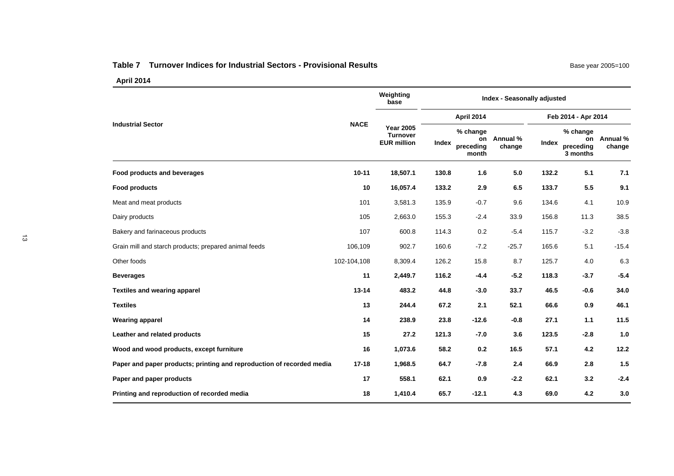#### **Table 7 Turnover Indices for Industrial Sectors - Provisional Results**

|                                                                       |             | Weighting<br>base                                         |       | Index - Seasonally adjusted          |                    |                     |                                         |                    |  |  |  |
|-----------------------------------------------------------------------|-------------|-----------------------------------------------------------|-------|--------------------------------------|--------------------|---------------------|-----------------------------------------|--------------------|--|--|--|
|                                                                       |             |                                                           |       | <b>April 2014</b>                    |                    | Feb 2014 - Apr 2014 |                                         |                    |  |  |  |
| <b>Industrial Sector</b>                                              | <b>NACE</b> | <b>Year 2005</b><br><b>Turnover</b><br><b>EUR million</b> | Index | % change<br>on<br>preceding<br>month | Annual %<br>change | Index               | % change<br>on<br>preceding<br>3 months | Annual %<br>change |  |  |  |
| Food products and beverages                                           | $10 - 11$   | 18,507.1                                                  | 130.8 | 1.6                                  | 5.0                | 132.2               | 5.1                                     | 7.1                |  |  |  |
| <b>Food products</b>                                                  | 10          | 16,057.4                                                  | 133.2 | 2.9                                  | 6.5                | 133.7               | 5.5                                     | 9.1                |  |  |  |
| Meat and meat products                                                | 101         | 3,581.3                                                   | 135.9 | $-0.7$                               | 9.6                | 134.6               | 4.1                                     | 10.9               |  |  |  |
| Dairy products                                                        | 105         | 2,663.0                                                   | 155.3 | $-2.4$                               | 33.9               | 156.8               | 11.3                                    | 38.5               |  |  |  |
| Bakery and farinaceous products                                       | 107         | 600.8                                                     | 114.3 | 0.2                                  | $-5.4$             | 115.7               | $-3.2$                                  | $-3.8$             |  |  |  |
| Grain mill and starch products; prepared animal feeds                 | 106,109     | 902.7                                                     | 160.6 | $-7.2$                               | $-25.7$            | 165.6               | 5.1                                     | $-15.4$            |  |  |  |
| Other foods                                                           | 102-104,108 | 8,309.4                                                   | 126.2 | 15.8                                 | 8.7                | 125.7               | 4.0                                     | 6.3                |  |  |  |
| <b>Beverages</b>                                                      | 11          | 2,449.7                                                   | 116.2 | $-4.4$                               | $-5.2$             | 118.3               | $-3.7$                                  | $-5.4$             |  |  |  |
| <b>Textiles and wearing apparel</b>                                   | $13 - 14$   | 483.2                                                     | 44.8  | $-3.0$                               | 33.7               | 46.5                | $-0.6$                                  | 34.0               |  |  |  |
| <b>Textiles</b>                                                       | 13          | 244.4                                                     | 67.2  | 2.1                                  | 52.1               | 66.6                | 0.9                                     | 46.1               |  |  |  |
| <b>Wearing apparel</b>                                                | 14          | 238.9                                                     | 23.8  | $-12.6$                              | $-0.8$             | 27.1                | $1.1$                                   | 11.5               |  |  |  |
| Leather and related products                                          | 15          | 27.2                                                      | 121.3 | $-7.0$                               | 3.6                | 123.5               | $-2.8$                                  | 1.0                |  |  |  |
| Wood and wood products, except furniture                              | 16          | 1,073.6                                                   | 58.2  | 0.2                                  | 16.5               | 57.1                | 4.2                                     | 12.2               |  |  |  |
| Paper and paper products; printing and reproduction of recorded media | $17 - 18$   | 1,968.5                                                   | 64.7  | $-7.8$                               | 2.4                | 66.9                | 2.8                                     | 1.5                |  |  |  |
| Paper and paper products                                              | 17          | 558.1                                                     | 62.1  | 0.9                                  | $-2.2$             | 62.1                | 3.2                                     | $-2.4$             |  |  |  |
| Printing and reproduction of recorded media                           | 18          | 1,410.4                                                   | 65.7  | $-12.1$                              | 4.3                | 69.0                | 4.2                                     | 3.0                |  |  |  |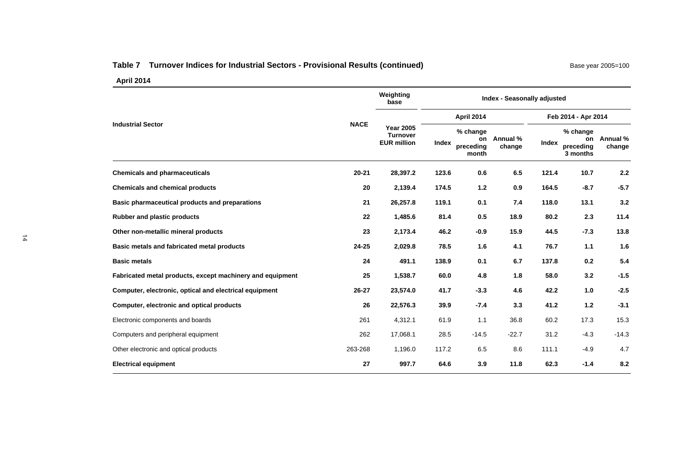# Table 7 Turnover Indices for Industrial Sectors - Provisional Results (continued) Base year 2005=100

|                                                           |             | Weighting<br>base                                         | Index - Seasonally adjusted |                                |                       |                     |                                         |                    |  |  |
|-----------------------------------------------------------|-------------|-----------------------------------------------------------|-----------------------------|--------------------------------|-----------------------|---------------------|-----------------------------------------|--------------------|--|--|
|                                                           | <b>NACE</b> |                                                           |                             | <b>April 2014</b>              |                       | Feb 2014 - Apr 2014 |                                         |                    |  |  |
| <b>Industrial Sector</b>                                  |             | <b>Year 2005</b><br><b>Turnover</b><br><b>EUR million</b> | Index                       | % change<br>preceding<br>month | on Annual %<br>change | Index               | % change<br>on<br>preceding<br>3 months | Annual %<br>change |  |  |
| <b>Chemicals and pharmaceuticals</b>                      | $20 - 21$   | 28,397.2                                                  | 123.6                       | 0.6                            | 6.5                   | 121.4               | 10.7                                    | 2.2                |  |  |
| <b>Chemicals and chemical products</b>                    | 20          | 2,139.4                                                   | 174.5                       | 1.2                            | 0.9                   | 164.5               | $-8.7$                                  | $-5.7$             |  |  |
| Basic pharmaceutical products and preparations            | 21          | 26,257.8                                                  | 119.1                       | 0.1                            | 7.4                   | 118.0               | 13.1                                    | 3.2                |  |  |
| <b>Rubber and plastic products</b>                        | 22          | 1,485.6                                                   | 81.4                        | 0.5                            | 18.9                  | 80.2                | 2.3                                     | 11.4               |  |  |
| Other non-metallic mineral products                       | 23          | 2,173.4                                                   | 46.2                        | $-0.9$                         | 15.9                  | 44.5                | $-7.3$                                  | 13.8               |  |  |
| Basic metals and fabricated metal products                | $24 - 25$   | 2,029.8                                                   | 78.5                        | 1.6                            | 4.1                   | 76.7                | 1.1                                     | 1.6                |  |  |
| <b>Basic metals</b>                                       | 24          | 491.1                                                     | 138.9                       | 0.1                            | 6.7                   | 137.8               | 0.2                                     | 5.4                |  |  |
| Fabricated metal products, except machinery and equipment | 25          | 1,538.7                                                   | 60.0                        | 4.8                            | 1.8                   | 58.0                | 3.2                                     | $-1.5$             |  |  |
| Computer, electronic, optical and electrical equipment    | $26 - 27$   | 23,574.0                                                  | 41.7                        | $-3.3$                         | 4.6                   | 42.2                | 1.0                                     | $-2.5$             |  |  |
| Computer, electronic and optical products                 | 26          | 22,576.3                                                  | 39.9                        | $-7.4$                         | 3.3                   | 41.2                | $1.2$                                   | $-3.1$             |  |  |
| Electronic components and boards                          | 261         | 4,312.1                                                   | 61.9                        | 1.1                            | 36.8                  | 60.2                | 17.3                                    | 15.3               |  |  |
| Computers and peripheral equipment                        | 262         | 17,068.1                                                  | 28.5                        | $-14.5$                        | $-22.7$               | 31.2                | $-4.3$                                  | $-14.3$            |  |  |
| Other electronic and optical products                     | 263-268     | 1.196.0                                                   | 117.2                       | 6.5                            | 8.6                   | 111.1               | $-4.9$                                  | 4.7                |  |  |
| <b>Electrical equipment</b>                               | 27          | 997.7                                                     | 64.6                        | 3.9                            | 11.8                  | 62.3                | $-1.4$                                  | 8.2                |  |  |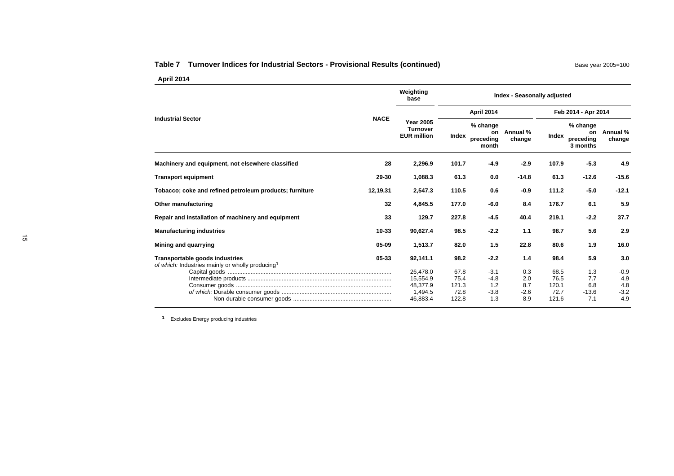#### Table 7 Turnover Indices for Industrial Sectors - Provisional Results (continued) Base year 2005=100

**April 2014**

|          | Weighting<br>base                                         |                               |                                      |                             |                               |                                         |                                           |  |
|----------|-----------------------------------------------------------|-------------------------------|--------------------------------------|-----------------------------|-------------------------------|-----------------------------------------|-------------------------------------------|--|
|          |                                                           |                               | April 2014                           |                             |                               | Feb 2014 - Apr 2014                     |                                           |  |
|          | <b>Year 2005</b><br><b>Turnover</b><br><b>EUR million</b> | Index                         | % change<br>on<br>preceding<br>month | Annual %<br>change          | Index                         | % change<br>on<br>preceding<br>3 months | Annual %<br>change                        |  |
| 28       | 2,296.9                                                   | 101.7                         | $-4.9$                               | $-2.9$                      | 107.9                         | $-5.3$                                  | 4.9                                       |  |
| 29-30    | 1,088.3                                                   | 61.3                          | 0.0                                  | $-14.8$                     | 61.3                          | $-12.6$                                 | $-15.6$                                   |  |
| 12,19,31 | 2,547.3                                                   | 110.5                         | 0.6                                  | $-0.9$                      | 111.2                         | $-5.0$                                  | $-12.1$                                   |  |
| 32       | 4,845.5                                                   | 177.0                         | $-6.0$                               | 8.4                         | 176.7                         | 6.1                                     | 5.9                                       |  |
| 33       | 129.7                                                     | 227.8                         | $-4.5$                               | 40.4                        | 219.1                         | $-2.2$                                  | 37.7                                      |  |
| 10-33    | 90,627.4                                                  | 98.5                          | $-2.2$                               | 1.1                         | 98.7                          | 5.6                                     | 2.9                                       |  |
| 05-09    | 1,513.7                                                   | 82.0                          | 1.5                                  | 22.8                        | 80.6                          | 1.9                                     | 16.0                                      |  |
| 05-33    | 92,141.1                                                  | 98.2                          | $-2.2$                               | 1.4                         | 98.4                          | 5.9                                     | 3.0                                       |  |
|          | 26,478.0<br>15,554.9<br>48,377.9<br>1,494.5               | 67.8<br>75.4<br>121.3<br>72.8 | $-3.1$<br>$-4.8$<br>1.2<br>$-3.8$    | 0.3<br>2.0<br>8.7<br>$-2.6$ | 68.5<br>76.5<br>120.1<br>72.7 | 1.3<br>7.7<br>6.8<br>$-13.6$            | $-0.9$<br>4.9<br>4.8<br>$-3.2$<br>4.9     |  |
|          | <b>NACE</b>                                               | 46,883.4                      | 122.8                                | 1.3                         | 8.9                           | 121.6                                   | <b>Index - Seasonally adjusted</b><br>7.1 |  |

**<sup>1</sup>** Excludes Energy producing industries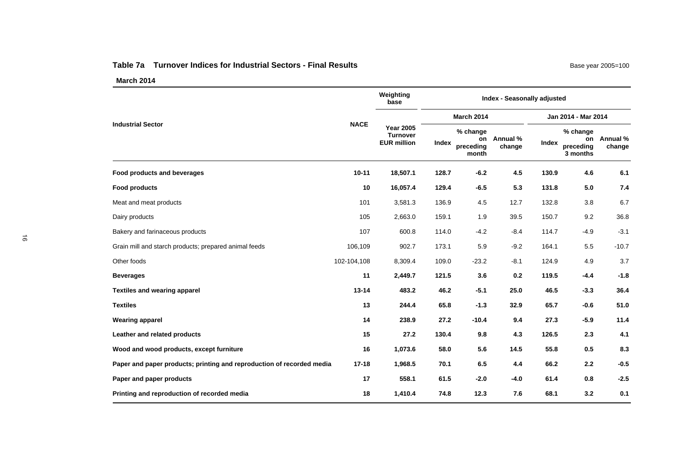#### **Table 7a Turnover Indices for Industrial Sectors - Final Results**

|                                                                       |             | Weighting<br>base                                         | Index - Seasonally adjusted |                                      |                    |                     |                                         |                    |  |  |  |
|-----------------------------------------------------------------------|-------------|-----------------------------------------------------------|-----------------------------|--------------------------------------|--------------------|---------------------|-----------------------------------------|--------------------|--|--|--|
| <b>Industrial Sector</b>                                              | <b>NACE</b> | <b>Year 2005</b><br><b>Turnover</b><br><b>EUR million</b> |                             | March 2014                           |                    | Jan 2014 - Mar 2014 |                                         |                    |  |  |  |
|                                                                       |             |                                                           | Index                       | % change<br>on<br>preceding<br>month | Annual %<br>change | Index               | % change<br>on<br>preceding<br>3 months | Annual %<br>change |  |  |  |
| Food products and beverages                                           | $10 - 11$   | 18,507.1                                                  | 128.7                       | $-6.2$                               | 4.5                | 130.9               | 4.6                                     | 6.1                |  |  |  |
| <b>Food products</b>                                                  | 10          | 16,057.4                                                  | 129.4                       | $-6.5$                               | 5.3                | 131.8               | 5.0                                     | 7.4                |  |  |  |
| Meat and meat products                                                | 101         | 3,581.3                                                   | 136.9                       | 4.5                                  | 12.7               | 132.8               | 3.8                                     | 6.7                |  |  |  |
| Dairy products                                                        | 105         | 2,663.0                                                   | 159.1                       | 1.9                                  | 39.5               | 150.7               | 9.2                                     | 36.8               |  |  |  |
| Bakery and farinaceous products                                       | 107         | 600.8                                                     | 114.0                       | $-4.2$                               | $-8.4$             | 114.7               | $-4.9$                                  | $-3.1$             |  |  |  |
| Grain mill and starch products; prepared animal feeds                 | 106,109     | 902.7                                                     | 173.1                       | 5.9                                  | $-9.2$             | 164.1               | 5.5                                     | $-10.7$            |  |  |  |
| Other foods                                                           | 102-104,108 | 8,309.4                                                   | 109.0                       | $-23.2$                              | $-8.1$             | 124.9               | 4.9                                     | 3.7                |  |  |  |
| <b>Beverages</b>                                                      | 11          | 2,449.7                                                   | 121.5                       | 3.6                                  | 0.2                | 119.5               | $-4.4$                                  | $-1.8$             |  |  |  |
| <b>Textiles and wearing apparel</b>                                   | $13 - 14$   | 483.2                                                     | 46.2                        | $-5.1$                               | 25.0               | 46.5                | $-3.3$                                  | 36.4               |  |  |  |
| <b>Textiles</b>                                                       | 13          | 244.4                                                     | 65.8                        | $-1.3$                               | 32.9               | 65.7                | $-0.6$                                  | 51.0               |  |  |  |
| <b>Wearing apparel</b>                                                | 14          | 238.9                                                     | 27.2                        | $-10.4$                              | 9.4                | 27.3                | $-5.9$                                  | 11.4               |  |  |  |
| Leather and related products                                          | 15          | 27.2                                                      | 130.4                       | 9.8                                  | 4.3                | 126.5               | 2.3                                     | 4.1                |  |  |  |
| Wood and wood products, except furniture                              | 16          | 1,073.6                                                   | 58.0                        | 5.6                                  | 14.5               | 55.8                | 0.5                                     | 8.3                |  |  |  |
| Paper and paper products; printing and reproduction of recorded media | $17 - 18$   | 1,968.5                                                   | 70.1                        | 6.5                                  | 4.4                | 66.2                | 2.2                                     | $-0.5$             |  |  |  |
| Paper and paper products                                              | 17          | 558.1                                                     | 61.5                        | $-2.0$                               | $-4.0$             | 61.4                | 0.8                                     | $-2.5$             |  |  |  |
| Printing and reproduction of recorded media                           | 18          | 1,410.4                                                   | 74.8                        | 12.3                                 | 7.6                | 68.1                | 3.2                                     | 0.1                |  |  |  |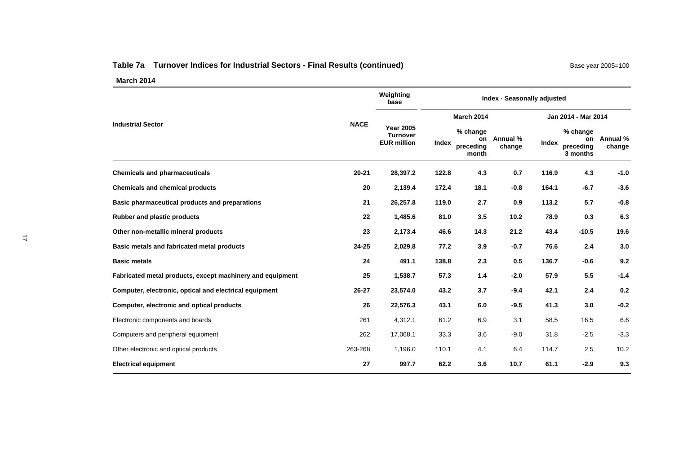# Table 7a Turnover Indices for Industrial Sectors - Final Results (continued) Base year 2005=100

|                                                           |             | Weighting<br>base                                         | Index - Seasonally adjusted |                                      |                    |                     |                                         |                    |  |
|-----------------------------------------------------------|-------------|-----------------------------------------------------------|-----------------------------|--------------------------------------|--------------------|---------------------|-----------------------------------------|--------------------|--|
|                                                           | <b>NACE</b> |                                                           |                             | <b>March 2014</b>                    |                    | Jan 2014 - Mar 2014 |                                         |                    |  |
| <b>Industrial Sector</b>                                  |             | <b>Year 2005</b><br><b>Turnover</b><br><b>EUR million</b> | Index                       | % change<br>on<br>preceding<br>month | Annual %<br>change | Index               | % change<br>on<br>preceding<br>3 months | Annual %<br>change |  |
| <b>Chemicals and pharmaceuticals</b>                      | $20 - 21$   | 28,397.2                                                  | 122.8                       | 4.3                                  | 0.7                | 116.9               | 4.3                                     | $-1.0$             |  |
| <b>Chemicals and chemical products</b>                    | 20          | 2,139.4                                                   | 172.4                       | 18.1                                 | $-0.8$             | 164.1               | $-6.7$                                  | $-3.6$             |  |
| Basic pharmaceutical products and preparations            | 21          | 26,257.8                                                  | 119.0                       | 2.7                                  | 0.9                | 113.2               | 5.7                                     | $-0.8$             |  |
| <b>Rubber and plastic products</b>                        | 22          | 1,485.6                                                   | 81.0                        | 3.5                                  | 10.2               | 78.9                | 0.3                                     | 6.3                |  |
| Other non-metallic mineral products                       | 23          | 2,173.4                                                   | 46.6                        | 14.3                                 | 21.2               | 43.4                | $-10.5$                                 | 19.6               |  |
| Basic metals and fabricated metal products                | $24 - 25$   | 2,029.8                                                   | 77.2                        | 3.9                                  | $-0.7$             | 76.6                | 2.4                                     | 3.0                |  |
| <b>Basic metals</b>                                       | 24          | 491.1                                                     | 138.8                       | 2.3                                  | 0.5                | 136.7               | $-0.6$                                  | 9.2                |  |
| Fabricated metal products, except machinery and equipment | 25          | 1,538.7                                                   | 57.3                        | 1.4                                  | $-2.0$             | 57.9                | 5.5                                     | $-1.4$             |  |
| Computer, electronic, optical and electrical equipment    | $26 - 27$   | 23,574.0                                                  | 43.2                        | 3.7                                  | $-9.4$             | 42.1                | 2.4                                     | 0.2                |  |
| Computer, electronic and optical products                 | 26          | 22,576.3                                                  | 43.1                        | 6.0                                  | $-9.5$             | 41.3                | 3.0                                     | $-0.2$             |  |
| Electronic components and boards                          | 261         | 4,312.1                                                   | 61.2                        | 6.9                                  | 3.1                | 58.5                | 16.5                                    | 6.6                |  |
| Computers and peripheral equipment                        | 262         | 17,068.1                                                  | 33.3                        | 3.6                                  | $-9.0$             | 31.8                | $-2.5$                                  | $-3.3$             |  |
| Other electronic and optical products                     | 263-268     | 1,196.0                                                   | 110.1                       | 4.1                                  | 6.4                | 114.7               | 2.5                                     | 10.2               |  |
| <b>Electrical equipment</b>                               | 27          | 997.7                                                     | 62.2                        | 3.6                                  | 10.7               | 61.1                | $-2.9$                                  | 9.3                |  |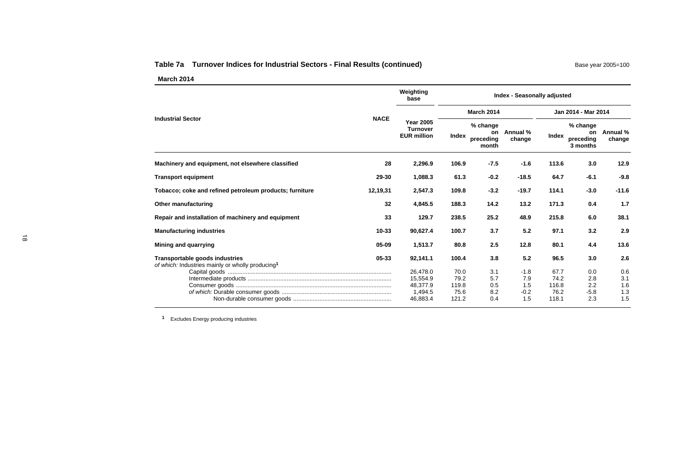#### Table 7a Turnover Indices for Industrial Sectors - Final Results (continued) Base year 2005=100

**March 2014**

|                                                                                                         | Weighting<br>base                                         | <b>Index - Seasonally adjusted</b>     |                                      |                                       |                                        |                                         |                                 |  |  |
|---------------------------------------------------------------------------------------------------------|-----------------------------------------------------------|----------------------------------------|--------------------------------------|---------------------------------------|----------------------------------------|-----------------------------------------|---------------------------------|--|--|
|                                                                                                         |                                                           |                                        | <b>March 2014</b>                    |                                       | Jan 2014 - Mar 2014                    |                                         |                                 |  |  |
| <b>NACE</b><br><b>Industrial Sector</b>                                                                 | <b>Year 2005</b><br><b>Turnover</b><br><b>EUR million</b> | Index                                  | % change<br>on<br>preceding<br>month | Annual %<br>change                    | Index                                  | % change<br>on<br>preceding<br>3 months | Annual %<br>change              |  |  |
| Machinery and equipment, not elsewhere classified<br>28                                                 | 2,296.9                                                   | 106.9                                  | $-7.5$                               | $-1.6$                                | 113.6                                  | 3.0                                     | 12.9                            |  |  |
| 29-30<br><b>Transport equipment</b>                                                                     | 1,088.3                                                   | 61.3                                   | $-0.2$                               | $-18.5$                               | 64.7                                   | $-6.1$                                  | $-9.8$                          |  |  |
| Tobacco; coke and refined petroleum products; furniture<br>12,19,31                                     | 2,547.3                                                   | 109.8                                  | $-3.2$                               | $-19.7$                               | 114.1                                  | $-3.0$                                  | $-11.6$                         |  |  |
| 32<br>Other manufacturing                                                                               | 4,845.5                                                   | 188.3                                  | 14.2                                 | 13.2                                  | 171.3                                  | 0.4                                     | 1.7                             |  |  |
| 33<br>Repair and installation of machinery and equipment                                                | 129.7                                                     | 238.5                                  | 25.2                                 | 48.9                                  | 215.8                                  | 6.0                                     | 38.1                            |  |  |
| $10 - 33$<br><b>Manufacturing industries</b>                                                            | 90,627.4                                                  | 100.7                                  | 3.7                                  | 5.2                                   | 97.1                                   | 3.2                                     | 2.9                             |  |  |
| 05-09<br>Mining and quarrying                                                                           | 1,513.7                                                   | 80.8                                   | 2.5                                  | 12.8                                  | 80.1                                   | 4.4                                     | 13.6                            |  |  |
| 05-33<br>Transportable goods industries<br>of which: Industries mainly or wholly producing <sup>1</sup> | 92,141.1                                                  | 100.4                                  | 3.8                                  | 5.2                                   | 96.5                                   | 3.0                                     | 2.6                             |  |  |
|                                                                                                         | 26,478.0<br>15,554.9<br>48,377.9<br>1,494.5<br>46,883.4   | 70.0<br>79.2<br>119.8<br>75.6<br>121.2 | 3.1<br>5.7<br>0.5<br>8.2<br>0.4      | $-1.8$<br>7.9<br>1.5<br>$-0.2$<br>1.5 | 67.7<br>74.2<br>116.8<br>76.2<br>118.1 | 0.0<br>2.8<br>2.2<br>$-5.8$<br>2.3      | 0.6<br>3.1<br>1.6<br>1.3<br>1.5 |  |  |

**<sup>1</sup>** Excludes Energy producing industries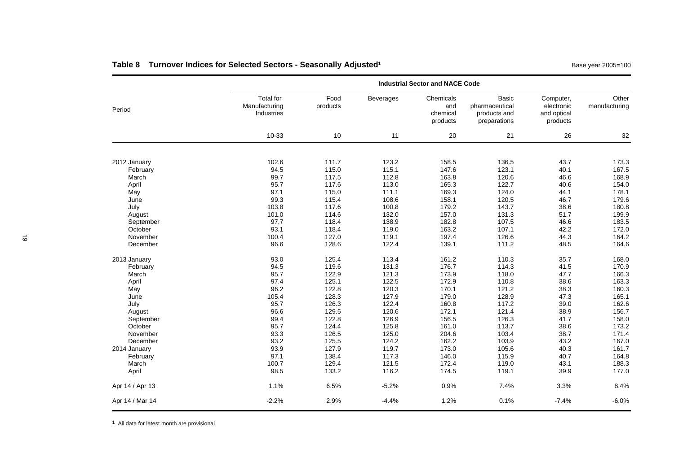# Table 8 Turnover Indices for Selected Sectors - Seasonally Adjusted<sup>1</sup> and the Computer of Base year 2005=100

|                 |                                          |                  | <b>Industrial Sector and NACE Code</b> |                                          |                                                                |                                                    |                        |  |  |
|-----------------|------------------------------------------|------------------|----------------------------------------|------------------------------------------|----------------------------------------------------------------|----------------------------------------------------|------------------------|--|--|
| Period          | Total for<br>Manufacturing<br>Industries | Food<br>products | Beverages                              | Chemicals<br>and<br>chemical<br>products | <b>Basic</b><br>pharmaceutical<br>products and<br>preparations | Computer,<br>electronic<br>and optical<br>products | Other<br>manufacturing |  |  |
|                 | 10-33                                    | 10               | 11                                     | 20                                       | 21                                                             | 26                                                 | 32                     |  |  |
| 2012 January    | 102.6                                    | 111.7            | 123.2                                  | 158.5                                    | 136.5                                                          | 43.7                                               | 173.3                  |  |  |
| February        | 94.5                                     | 115.0            | 115.1                                  | 147.6                                    | 123.1                                                          | 40.1                                               | 167.5                  |  |  |
| March           | 99.7                                     | 117.5            | 112.8                                  | 163.8                                    | 120.6                                                          | 46.6                                               | 168.9                  |  |  |
| April           | 95.7                                     | 117.6            | 113.0                                  | 165.3                                    | 122.7                                                          | 40.6                                               | 154.0                  |  |  |
| May             | 97.1                                     | 115.0            | 111.1                                  | 169.3                                    | 124.0                                                          | 44.1                                               | 178.1                  |  |  |
| June            | 99.3                                     | 115.4            | 108.6                                  | 158.1                                    | 120.5                                                          | 46.7                                               | 179.6                  |  |  |
| July            | 103.8                                    | 117.6            | 100.8                                  | 179.2                                    | 143.7                                                          | 38.6                                               | 180.8                  |  |  |
| August          | 101.0                                    | 114.6            | 132.0                                  | 157.0                                    | 131.3                                                          | 51.7                                               | 199.9                  |  |  |
| September       | 97.7                                     | 118.4            | 138.9                                  | 182.8                                    | 107.5                                                          | 46.6                                               | 183.5                  |  |  |
| October         | 93.1                                     | 118.4            | 119.0                                  | 163.2                                    | 107.1                                                          | 42.2                                               | 172.0                  |  |  |
| November        | 100.4                                    | 127.0            | 119.1                                  | 197.4                                    | 126.6                                                          | 44.3                                               | 164.2                  |  |  |
| December        | 96.6                                     | 128.6            | 122.4                                  | 139.1                                    | 111.2                                                          | 48.5                                               | 164.6                  |  |  |
| 2013 January    | 93.0                                     | 125.4            | 113.4                                  | 161.2                                    | 110.3                                                          | 35.7                                               | 168.0                  |  |  |
| February        | 94.5                                     | 119.6            | 131.3                                  | 176.7                                    | 114.3                                                          | 41.5                                               | 170.9                  |  |  |
| March           | 95.7                                     | 122.9            | 121.3                                  | 173.9                                    | 118.0                                                          | 47.7                                               | 166.3                  |  |  |
| April           | 97.4                                     | 125.1            | 122.5                                  | 172.9                                    | 110.8                                                          | 38.6                                               | 163.3                  |  |  |
| May             | 96.2                                     | 122.8            | 120.3                                  | 170.1                                    | 121.2                                                          | 38.3                                               | 160.3                  |  |  |
| June            | 105.4                                    | 128.3            | 127.9                                  | 179.0                                    | 128.9                                                          | 47.3                                               | 165.1                  |  |  |
| July            | 95.7                                     | 126.3            | 122.4                                  | 160.8                                    | 117.2                                                          | 39.0                                               | 162.6                  |  |  |
| August          | 96.6                                     | 129.5            | 120.6                                  | 172.1                                    | 121.4                                                          | 38.9                                               | 156.7                  |  |  |
| September       | 99.4                                     | 122.8            | 126.9                                  | 156.5                                    | 126.3                                                          | 41.7                                               | 158.0                  |  |  |
| October         | 95.7                                     | 124.4            | 125.8                                  | 161.0                                    | 113.7                                                          | 38.6                                               | 173.2                  |  |  |
| November        | 93.3                                     | 126.5            | 125.0                                  | 204.6                                    | 103.4                                                          | 38.7                                               | 171.4                  |  |  |
| December        | 93.2                                     | 125.5            | 124.2                                  | 162.2                                    | 103.9                                                          | 43.2                                               | 167.0                  |  |  |
| 2014 January    | 93.9                                     | 127.9            | 119.7                                  | 173.0                                    | 105.6                                                          | 40.3                                               | 161.7                  |  |  |
| February        | 97.1                                     | 138.4            | 117.3                                  | 146.0                                    | 115.9                                                          | 40.7                                               | 164.8                  |  |  |
| March           | 100.7                                    | 129.4            | 121.5                                  | 172.4                                    | 119.0                                                          | 43.1                                               | 188.3                  |  |  |
| April           | 98.5                                     | 133.2            | 116.2                                  | 174.5                                    | 119.1                                                          | 39.9                                               | 177.0                  |  |  |
| Apr 14 / Apr 13 | 1.1%                                     | 6.5%             | $-5.2%$                                | 0.9%                                     | 7.4%                                                           | 3.3%                                               | 8.4%                   |  |  |
| Apr 14 / Mar 14 | $-2.2%$                                  | 2.9%             | $-4.4%$                                | 1.2%                                     | 0.1%                                                           | $-7.4%$                                            | $-6.0%$                |  |  |

**<sup>1</sup>** All data for latest month are provisional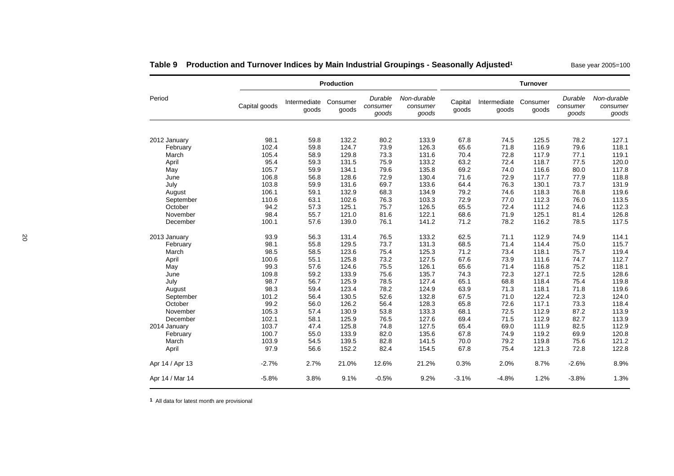|                 | <b>Production</b> |                       |                   |                              |                                  |                  | <b>Turnover</b>       |                   |                              |                                  |  |  |  |
|-----------------|-------------------|-----------------------|-------------------|------------------------------|----------------------------------|------------------|-----------------------|-------------------|------------------------------|----------------------------------|--|--|--|
| Period          | Capital goods     | Intermediate<br>goods | Consumer<br>goods | Durable<br>consumer<br>goods | Non-durable<br>consumer<br>goods | Capital<br>goods | Intermediate<br>goods | Consumer<br>goods | Durable<br>consumer<br>goods | Non-durable<br>consumer<br>goods |  |  |  |
|                 |                   |                       |                   |                              |                                  |                  |                       |                   |                              |                                  |  |  |  |
| 2012 January    | 98.1              | 59.8                  | 132.2             | 80.2                         | 133.9                            | 67.8             | 74.5                  | 125.5             | 78.2                         | 127.1                            |  |  |  |
| February        | 102.4             | 59.8                  | 124.7             | 73.9                         | 126.3                            | 65.6             | 71.8                  | 116.9             | 79.6                         | 118.1                            |  |  |  |
| March           | 105.4             | 58.9                  | 129.8             | 73.3                         | 131.6                            | 70.4             | 72.8                  | 117.9             | 77.1                         | 119.1                            |  |  |  |
| April           | 95.4              | 59.3                  | 131.5             | 75.9                         | 133.2                            | 63.2             | 72.4                  | 118.7             | 77.5                         | 120.0                            |  |  |  |
| May             | 105.7             | 59.9                  | 134.1             | 79.6                         | 135.8                            | 69.2             | 74.0                  | 116.6             | 80.0                         | 117.8                            |  |  |  |
| June            | 106.8             | 56.8                  | 128.6             | 72.9                         | 130.4                            | 71.6             | 72.9                  | 117.7             | 77.9                         | 118.8                            |  |  |  |
| July            | 103.8             | 59.9                  | 131.6             | 69.7                         | 133.6                            | 64.4             | 76.3                  | 130.1             | 73.7                         | 131.9                            |  |  |  |
| August          | 106.1             | 59.1                  | 132.9             | 68.3                         | 134.9                            | 79.2             | 74.6                  | 118.3             | 76.8                         | 119.6                            |  |  |  |
| September       | 110.6             | 63.1                  | 102.6             | 76.3                         | 103.3                            | 72.9             | 77.0                  | 112.3             | 76.0                         | 113.5                            |  |  |  |
| October         | 94.2              | 57.3                  | 125.1             | 75.7                         | 126.5                            | 65.5             | 72.4                  | 111.2             | 74.6                         | 112.3                            |  |  |  |
| November        | 98.4              | 55.7                  | 121.0             | 81.6                         | 122.1                            | 68.6             | 71.9                  | 125.1             | 81.4                         | 126.8                            |  |  |  |
| December        | 100.1             | 57.6                  | 139.0             | 76.1                         | 141.2                            | 71.2             | 78.2                  | 116.2             | 78.5                         | 117.5                            |  |  |  |
| 2013 January    | 93.9              | 56.3                  | 131.4             | 76.5                         | 133.2                            | 62.5             | 71.1                  | 112.9             | 74.9                         | 114.1                            |  |  |  |
| February        | 98.1              | 55.8                  | 129.5             | 73.7                         | 131.3                            | 68.5             | 71.4                  | 114.4             | 75.0                         | 115.7                            |  |  |  |
| March           | 98.5              | 58.5                  | 123.6             | 75.4                         | 125.3                            | 71.2             | 73.4                  | 118.1             | 75.7                         | 119.4                            |  |  |  |
| April           | 100.6             | 55.1                  | 125.8             | 73.2                         | 127.5                            | 67.6             | 73.9                  | 111.6             | 74.7                         | 112.7                            |  |  |  |
| May             | 99.3              | 57.6                  | 124.6             | 75.5                         | 126.1                            | 65.6             | 71.4                  | 116.8             | 75.2                         | 118.1                            |  |  |  |
| June            | 109.8             | 59.2                  | 133.9             | 75.6                         | 135.7                            | 74.3             | 72.3                  | 127.1             | 72.5                         | 128.6                            |  |  |  |
| July            | 98.7              | 56.7                  | 125.9             | 78.5                         | 127.4                            | 65.1             | 68.8                  | 118.4             | 75.4                         | 119.8                            |  |  |  |
| August          | 98.3              | 59.4                  | 123.4             | 78.2                         | 124.9                            | 63.9             | 71.3                  | 118.1             | 71.8                         | 119.6                            |  |  |  |
| September       | 101.2             | 56.4                  | 130.5             | 52.6                         | 132.8                            | 67.5             | 71.0                  | 122.4             | 72.3                         | 124.0                            |  |  |  |
| October         | 99.2              | 56.0                  | 126.2             | 56.4                         | 128.3                            | 65.8             | 72.6                  | 117.1             | 73.3                         | 118.4                            |  |  |  |
| November        | 105.3             | 57.4                  | 130.9             | 53.8                         | 133.3                            | 68.1             | 72.5                  | 112.9             | 87.2                         | 113.9                            |  |  |  |
| December        | 102.1             | 58.1                  | 125.9             | 76.5                         | 127.6                            | 69.4             | 71.5                  | 112.9             | 82.7                         | 113.9                            |  |  |  |
| 2014 January    | 103.7             | 47.4                  | 125.8             | 74.8                         | 127.5                            | 65.4             | 69.0                  | 111.9             | 82.5                         | 112.9                            |  |  |  |
| February        | 100.7             | 55.0                  | 133.9             | 82.0                         | 135.6                            | 67.8             | 74.9                  | 119.2             | 69.9                         | 120.8                            |  |  |  |
| March           | 103.9             | 54.5                  | 139.5             | 82.8                         | 141.5                            | 70.0             | 79.2                  | 119.8             | 75.6                         | 121.2                            |  |  |  |
| April           | 97.9              | 56.6                  | 152.2             | 82.4                         | 154.5                            | 67.8             | 75.4                  | 121.3             | 72.8                         | 122.8                            |  |  |  |
| Apr 14 / Apr 13 | $-2.7%$           | 2.7%                  | 21.0%             | 12.6%                        | 21.2%                            | 0.3%             | 2.0%                  | 8.7%              | $-2.6%$                      | 8.9%                             |  |  |  |
| Apr 14 / Mar 14 | $-5.8%$           | 3.8%                  | 9.1%              | $-0.5%$                      | 9.2%                             | $-3.1%$          | $-4.8%$               | 1.2%              | $-3.8%$                      | 1.3%                             |  |  |  |

Table 9 Production and Turnover Indices by Main Industrial Groupings - Seasonally Adjusted<sup>1</sup> Base year 2005=100

**<sup>1</sup>** All data for latest month are provisional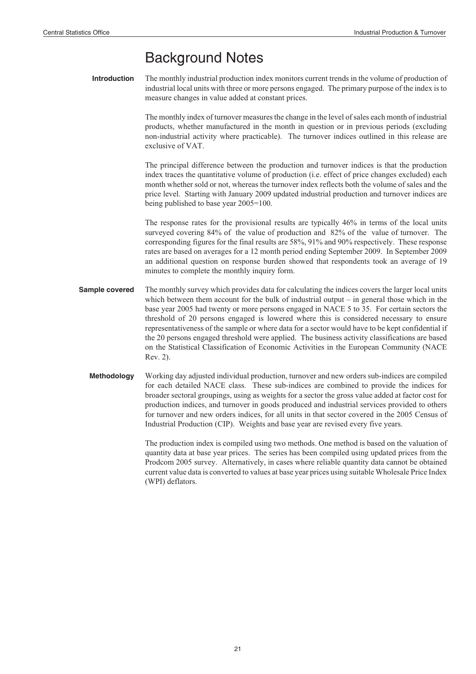# Background Notes

**Introduction** The monthly industrial production index monitors current trends in the volume of production of industrial local units with three or more persons engaged. The primary purpose of the index is to measure changes in value added at constant prices.

> The monthly index of turnover measures the change in the level of sales each month of industrial products, whether manufactured in the month in question or in previous periods (excluding non-industrial activity where practicable). The turnover indices outlined in this release are exclusive of VAT.

> The principal difference between the production and turnover indices is that the production index traces the quantitative volume of production (i.e. effect of price changes excluded) each month whether sold or not, whereas the turnover index reflects both the volume of sales and the price level. Starting with January 2009 updated industrial production and turnover indices are being published to base year 2005=100.

> The response rates for the provisional results are typically 46% in terms of the local units surveyed covering 84% of the value of production and 82% of the value of turnover. The corresponding figures for the final results are 58%, 91% and 90% respectively. These response rates are based on averages for a 12 month period ending September 2009. In September 2009 an additional question on response burden showed that respondents took an average of 19 minutes to complete the monthly inquiry form.

- **Sample covered** The monthly survey which provides data for calculating the indices covers the larger local units which between them account for the bulk of industrial output – in general those which in the base year 2005 had twenty or more persons engaged in NACE 5 to 35. For certain sectors the threshold of 20 persons engaged is lowered where this is considered necessary to ensure representativeness of the sample or where data for a sector would have to be kept confidential if the 20 persons engaged threshold were applied. The business activity classifications are based on the Statistical Classification of Economic Activities in the European Community (NACE Rev. 2).
	- **Methodology** Working day adjusted individual production, turnover and new orders sub-indices are compiled for each detailed NACE class. These sub-indices are combined to provide the indices for broader sectoral groupings, using as weights for a sector the gross value added at factor cost for production indices, and turnover in goods produced and industrial services provided to others for turnover and new orders indices, for all units in that sector covered in the 2005 Census of Industrial Production (CIP). Weights and base year are revised every five years.

The production index is compiled using two methods. One method is based on the valuation of quantity data at base year prices. The series has been compiled using updated prices from the Prodcom 2005 survey. Alternatively, in cases where reliable quantity data cannot be obtained current value data is converted to values at base year prices using suitable Wholesale Price Index (WPI) deflators.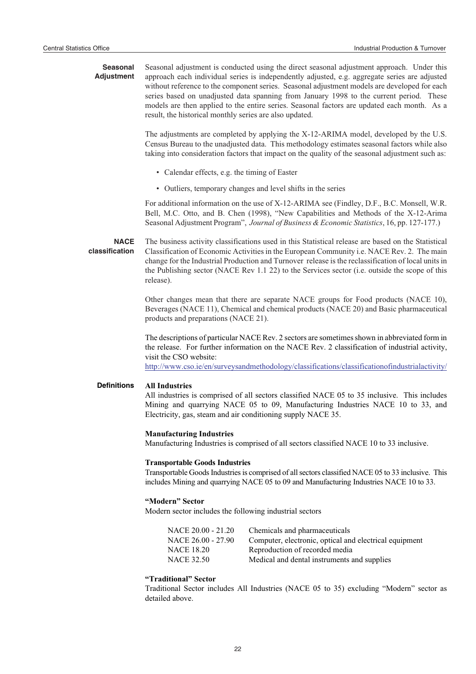**Seasonal Adjustment** Seasonal adjustment is conducted using the direct seasonal adjustment approach. Under this approach each individual series is independently adjusted, e.g. aggregate series are adjusted without reference to the component series. Seasonal adjustment models are developed for each series based on unadjusted data spanning from January 1998 to the current period. These models are then applied to the entire series. Seasonal factors are updated each month. As a result, the historical monthly series are also updated.

> The adjustments are completed by applying the X-12-ARIMA model, developed by the U.S. Census Bureau to the unadjusted data. This methodology estimates seasonal factors while also taking into consideration factors that impact on the quality of the seasonal adjustment such as:

- Calendar effects, e.g. the timing of Easter
- Outliers, temporary changes and level shifts in the series

For additional information on the use of X-12-ARIMA see (Findley, D.F., B.C. Monsell, W.R. Bell, M.C. Otto, and B. Chen (1998), "New Capabilities and Methods of the X-12-Arima Seasonal Adjustment Program", *Journal of Business & Economic Statistics*, 16, pp. 127-177.)

**NACE classification** The business activity classifications used in this Statistical release are based on the Statistical Classification of Economic Activities in the European Community i.e. NACE Rev. 2. The main change for the Industrial Production and Turnover release is the reclassification of local units in the Publishing sector (NACE Rev 1.1 22) to the Services sector (i.e. outside the scope of this release).

> Other changes mean that there are separate NACE groups for Food products (NACE 10), Beverages (NACE 11), Chemical and chemical products (NACE 20) and Basic pharmaceutical products and preparations (NACE 21).

> The descriptions of particular NACE Rev. 2 sectors are sometimes shown in abbreviated form in the release. For further information on the NACE Rev. 2 classification of industrial activity, visit the CSO website:

> http://www.cso.ie/en/surveysandmethodology/classifications/classificationofindustrialactivity/

#### **Definitions All Industries**

All industries is comprised of all sectors classified NACE 05 to 35 inclusive. This includes Mining and quarrying NACE 05 to 09, Manufacturing Industries NACE 10 to 33, and Electricity, gas, steam and air conditioning supply NACE 35.

#### **Manufacturing Industries**

Manufacturing Industries is comprised of all sectors classified NACE 10 to 33 inclusive.

#### **Transportable Goods Industries**

Transportable Goods Industries is comprised of all sectors classified NACE 05 to 33 inclusive. This includes Mining and quarrying NACE 05 to 09 and Manufacturing Industries NACE 10 to 33.

#### **"Modern" Sector**

Modern sector includes the following industrial sectors

| NACE 20.00 - 21.20 | Chemicals and pharmaceuticals                          |
|--------------------|--------------------------------------------------------|
| NACE 26.00 - 27.90 | Computer, electronic, optical and electrical equipment |
| <b>NACE 18.20</b>  | Reproduction of recorded media                         |
| <b>NACE 32.50</b>  | Medical and dental instruments and supplies            |

#### **"Traditional" Sector**

Traditional Sector includes All Industries (NACE 05 to 35) excluding "Modern" sector as detailed above.